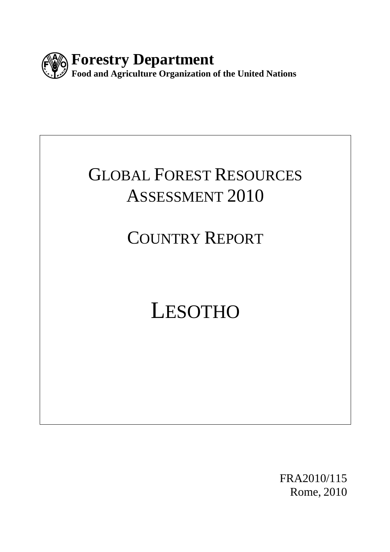

# GLOBAL FOREST RESOURCES ASSESSMENT 2010

# COUNTRY REPORT

# LESOTHO

FRA2010/115 Rome, 2010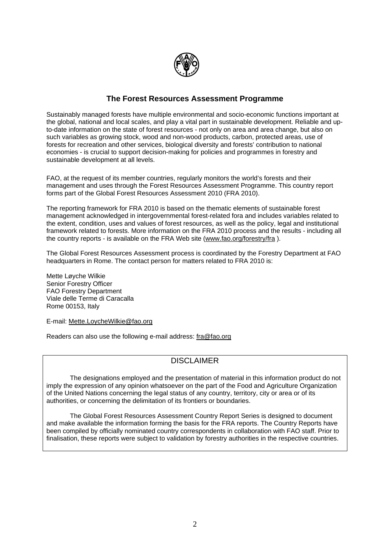

#### **The Forest Resources Assessment Programme**

Sustainably managed forests have multiple environmental and socio-economic functions important at the global, national and local scales, and play a vital part in sustainable development. Reliable and upto-date information on the state of forest resources - not only on area and area change, but also on such variables as growing stock, wood and non-wood products, carbon, protected areas, use of forests for recreation and other services, biological diversity and forests' contribution to national economies - is crucial to support decision-making for policies and programmes in forestry and sustainable development at all levels.

FAO, at the request of its member countries, regularly monitors the world's forests and their management and uses through the Forest Resources Assessment Programme. This country report forms part of the Global Forest Resources Assessment 2010 (FRA 2010).

The reporting framework for FRA 2010 is based on the thematic elements of sustainable forest management acknowledged in intergovernmental forest-related fora and includes variables related to the extent, condition, uses and values of forest resources, as well as the policy, legal and institutional framework related to forests. More information on the FRA 2010 process and the results - including all the country reports - is available on the FRA Web site ([www.fao.org/forestry/fra](http://www.fao.org/forestry/fra) ).

The Global Forest Resources Assessment process is coordinated by the Forestry Department at FAO headquarters in Rome. The contact person for matters related to FRA 2010 is:

Mette Løyche Wilkie Senior Forestry Officer FAO Forestry Department Viale delle Terme di Caracalla Rome 00153, Italy

E-mail: [Mette.LoycheWilkie@fao.org](mailto:Mette.LoycheWilkie@fao.org) 

Readers can also use the following e-mail address: [fra@fao.org](mailto:fra@fao.org)

#### DISCLAIMER

 The designations employed and the presentation of material in this information product do not imply the expression of any opinion whatsoever on the part of the Food and Agriculture Organization of the United Nations concerning the legal status of any country, territory, city or area or of its authorities, or concerning the delimitation of its frontiers or boundaries.

 The Global Forest Resources Assessment Country Report Series is designed to document and make available the information forming the basis for the FRA reports. The Country Reports have been compiled by officially nominated country correspondents in collaboration with FAO staff. Prior to finalisation, these reports were subject to validation by forestry authorities in the respective countries.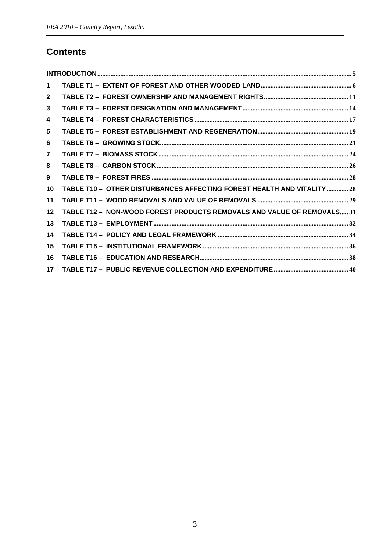# **Contents**

| $\mathbf 1$     |                                                                         |
|-----------------|-------------------------------------------------------------------------|
| $\mathbf{2}$    |                                                                         |
| $\mathbf{3}$    |                                                                         |
| 4               |                                                                         |
| 5               |                                                                         |
| 6               |                                                                         |
| $\overline{7}$  |                                                                         |
| 8               |                                                                         |
| 9               |                                                                         |
| 10              | TABLE T10 - OTHER DISTURBANCES AFFECTING FOREST HEALTH AND VITALITY  28 |
| 11              |                                                                         |
| $12 \,$         | TABLE T12 - NON-WOOD FOREST PRODUCTS REMOVALS AND VALUE OF REMOVALS 31  |
| 13              |                                                                         |
| 14              |                                                                         |
| 15              |                                                                         |
| 16              |                                                                         |
| 17 <sup>1</sup> |                                                                         |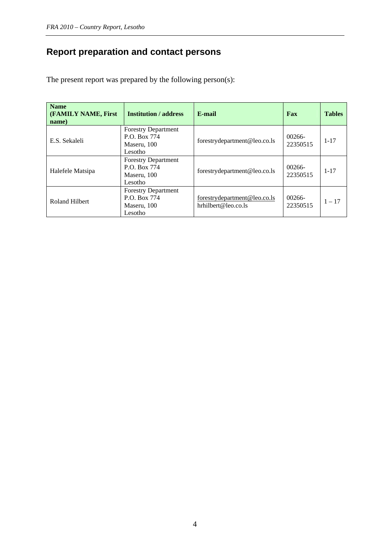# **Report preparation and contact persons**

The present report was prepared by the following person(s):

| <b>Name</b><br><b>(FAMILY NAME, First)</b><br>name) | <b>Institution / address</b>                                         | E-mail                                              | Fax                | <b>Tables</b> |
|-----------------------------------------------------|----------------------------------------------------------------------|-----------------------------------------------------|--------------------|---------------|
| E.S. Sekaleli                                       | <b>Forestry Department</b><br>P.O. Box 774<br>Maseru, 100<br>Lesotho | forestrydepartment@leo.co.ls                        | 00266-<br>22350515 | $1 - 17$      |
| Halefele Matsipa                                    | <b>Forestry Department</b><br>P.O. Box 774<br>Maseru, 100<br>Lesotho | forestrydepartment@leo.co.ls                        | 00266-<br>22350515 | $1 - 17$      |
| Roland Hilbert                                      | <b>Forestry Department</b><br>P.O. Box 774<br>Maseru, 100<br>Lesotho | forestrydepartment@leo.co.ls<br>hrhilbert@leo.co.ls | 00266-<br>22350515 | $1 - 17$      |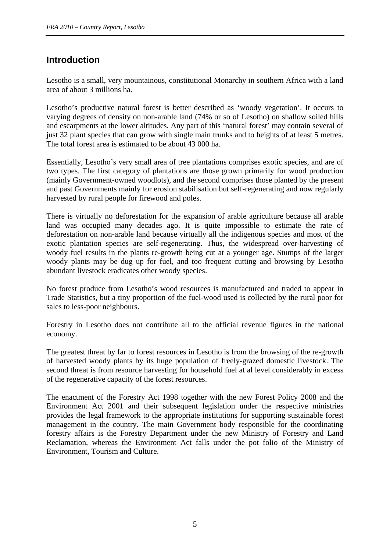# <span id="page-4-0"></span>**Introduction**

Lesotho is a small, very mountainous, constitutional Monarchy in southern Africa with a land area of about 3 millions ha.

Lesotho's productive natural forest is better described as 'woody vegetation'. It occurs to varying degrees of density on non-arable land (74% or so of Lesotho) on shallow soiled hills and escarpments at the lower altitudes. Any part of this 'natural forest' may contain several of just 32 plant species that can grow with single main trunks and to heights of at least 5 metres. The total forest area is estimated to be about 43 000 ha.

Essentially, Lesotho's very small area of tree plantations comprises exotic species, and are of two types. The first category of plantations are those grown primarily for wood production (mainly Government-owned woodlots), and the second comprises those planted by the present and past Governments mainly for erosion stabilisation but self-regenerating and now regularly harvested by rural people for firewood and poles.

There is virtually no deforestation for the expansion of arable agriculture because all arable land was occupied many decades ago. It is quite impossible to estimate the rate of deforestation on non-arable land because virtually all the indigenous species and most of the exotic plantation species are self-regenerating. Thus, the widespread over-harvesting of woody fuel results in the plants re-growth being cut at a younger age. Stumps of the larger woody plants may be dug up for fuel, and too frequent cutting and browsing by Lesotho abundant livestock eradicates other woody species.

No forest produce from Lesotho's wood resources is manufactured and traded to appear in Trade Statistics, but a tiny proportion of the fuel-wood used is collected by the rural poor for sales to less-poor neighbours.

Forestry in Lesotho does not contribute all to the official revenue figures in the national economy.

The greatest threat by far to forest resources in Lesotho is from the browsing of the re-growth of harvested woody plants by its huge population of freely-grazed domestic livestock. The second threat is from resource harvesting for household fuel at al level considerably in excess of the regenerative capacity of the forest resources.

The enactment of the Forestry Act 1998 together with the new Forest Policy 2008 and the Environment Act 2001 and their subsequent legislation under the respective ministries provides the legal framework to the appropriate institutions for supporting sustainable forest management in the country. The main Government body responsible for the coordinating forestry affairs is the Forestry Department under the new Ministry of Forestry and Land Reclamation, whereas the Environment Act falls under the pot folio of the Ministry of Environment, Tourism and Culture.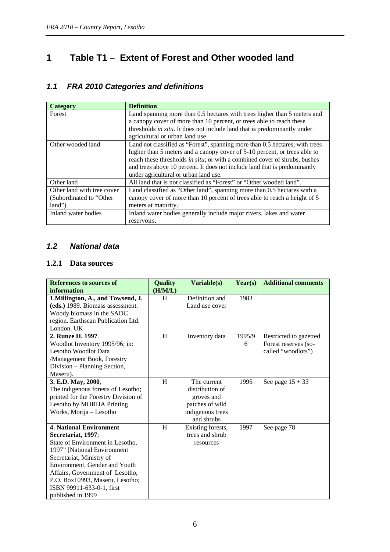# <span id="page-5-0"></span>**1 Table T1 – Extent of Forest and Other wooded land**

# *1.1 FRA 2010 Categories and definitions*

| <b>Category</b>            | <b>Definition</b>                                                            |
|----------------------------|------------------------------------------------------------------------------|
| Forest                     | Land spanning more than 0.5 hectares with trees higher than 5 meters and     |
|                            | a canopy cover of more than 10 percent, or trees able to reach these         |
|                            | thresholds in situ. It does not include land that is predominantly under     |
|                            | agricultural or urban land use.                                              |
| Other wooded land          | Land not classified as "Forest", spanning more than 0.5 hectares; with trees |
|                            | higher than 5 meters and a canopy cover of 5-10 percent, or trees able to    |
|                            | reach these thresholds in situ; or with a combined cover of shrubs, bushes   |
|                            | and trees above 10 percent. It does not include land that is predominantly   |
|                            | under agricultural or urban land use.                                        |
| Other land                 | All land that is not classified as "Forest" or "Other wooded land".          |
| Other land with tree cover | Land classified as "Other land", spanning more than 0.5 hectares with a      |
| (Subordinated to "Other    | canopy cover of more than 10 percent of trees able to reach a height of 5    |
| land")                     | meters at maturity.                                                          |
| Inland water bodies        | Inland water bodies generally include major rivers, lakes and water          |
|                            | reservoirs.                                                                  |

#### *1.2 National data*

#### **1.2.1 Data sources**

| <b>References to sources of</b>      | <b>Quality</b> | Variable(s)       | Year(s) | <b>Additional comments</b> |
|--------------------------------------|----------------|-------------------|---------|----------------------------|
| information                          | (H/M/L)        |                   |         |                            |
| 1. Millington, A., and Towsend, J.   | H              | Definition and    | 1983    |                            |
| (eds.) 1989. Biomass assessment.     |                | Land use cover    |         |                            |
| Woody biomass in the SADC            |                |                   |         |                            |
| region. Earthscan Publication Ltd.   |                |                   |         |                            |
| London. UK                           |                |                   |         |                            |
| 2. Runze H. 1997.                    | H              | Inventory data    | 1995/9  | Restricted to gazetted     |
| Woodlot Inventory 1995/96; in:       |                |                   | 6       | Forest reserves (so-       |
| <b>Lesotho Woodlot Data</b>          |                |                   |         | called "woodlots")         |
| /Management Book, Forestry           |                |                   |         |                            |
| Division – Planning Section,         |                |                   |         |                            |
| Maseru).                             |                |                   |         |                            |
| 3. E.D. May, 2000,                   | H              | The current       | 1995    | See page $15 + 33$         |
| The indigenous forests of Lesotho;   |                | distribution of   |         |                            |
| printed for the Forestry Division of |                | groves and        |         |                            |
| Lesotho by MORIJA Printing           |                | patches of wild   |         |                            |
| Works, Morija - Lesotho              |                | indigenous trees  |         |                            |
|                                      |                | and shrubs        |         |                            |
| <b>4. National Environment</b>       | H              | Existing forests, | 1997    | See page 78                |
| Secretariat, 1997;                   |                | trees and shrub   |         |                            |
| State of Environment in Lesotho,     |                | resources         |         |                            |
| 1997" [National Environment          |                |                   |         |                            |
| Secretariat, Ministry of             |                |                   |         |                            |
| Environment, Gender and Youth        |                |                   |         |                            |
| Affairs, Government of Lesotho,      |                |                   |         |                            |
| P.O. Box10993, Maseru, Lesotho;      |                |                   |         |                            |
| ISBN 99911-633-0-1, first            |                |                   |         |                            |
| published in 1999                    |                |                   |         |                            |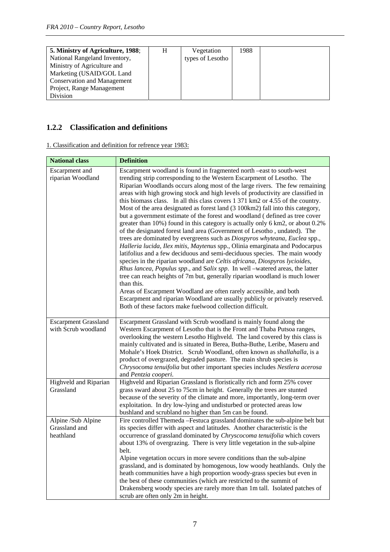| 5. Ministry of Agriculture, 1988;  | Vegetation       | 1988 |  |
|------------------------------------|------------------|------|--|
| National Rangeland Inventory,      | types of Lesotho |      |  |
| Ministry of Agriculture and        |                  |      |  |
| Marketing (USAID/GOL Land          |                  |      |  |
| <b>Conservation and Management</b> |                  |      |  |
| Project, Range Management          |                  |      |  |
| Division                           |                  |      |  |

## **1.2.2 Classification and definitions**

1. Classification and definition for refrence year 1983:

| <b>National class</b>                              | <b>Definition</b>                                                                                                                                                                                                                                                                                                                                                                                                                                                                                                                                                                                                                                                                                                                                                                                                                                                                                                                                                                                                                                                                                                                                                                                                                                                                                                                                                                                                                                          |
|----------------------------------------------------|------------------------------------------------------------------------------------------------------------------------------------------------------------------------------------------------------------------------------------------------------------------------------------------------------------------------------------------------------------------------------------------------------------------------------------------------------------------------------------------------------------------------------------------------------------------------------------------------------------------------------------------------------------------------------------------------------------------------------------------------------------------------------------------------------------------------------------------------------------------------------------------------------------------------------------------------------------------------------------------------------------------------------------------------------------------------------------------------------------------------------------------------------------------------------------------------------------------------------------------------------------------------------------------------------------------------------------------------------------------------------------------------------------------------------------------------------------|
| Escarpment and<br>riparian Woodland                | Escarpment woodland is found in fragmented north -east to south-west<br>trending strip corresponding to the Western Escarpment of Lesotho. The<br>Riparian Woodlands occurs along most of the large rivers. The few remaining<br>areas with high growing stock and high levels of productivity are classified in<br>this biomass class. In all this class covers 1 371 km2 or 4.55 of the country.<br>Most of the area designated as forest land (3 100km2) fall into this category,<br>but a government estimate of the forest and woodland (defined as tree cover<br>greater than 10%) found in this category is actually only 6 km2, or about 0.2%<br>of the designated forest land area (Government of Lesotho, undated). The<br>trees are dominated by evergreens such as Diospyros whyteana, Euclea spp.,<br>Halleria lucida, Ilex mitis, Maytenus spp., Olinia emarginata and Podocarpus<br>latifolius and a few deciduous and semi-deciduous species. The main woody<br>species in the riparian woodland are Celtis africana, Diospyros lycioides,<br>Rhus lancea, Populus spp., and Salix spp. In well -watered areas, the latter<br>tree can reach heights of 7m but, generally riparian woodland is much lower<br>than this.<br>Areas of Escarpment Woodland are often rarely accessible, and both<br>Escarpment and riparian Woodland are usually publicly or privately reserved.<br>Both of these factors make fuelwood collection difficult. |
| <b>Escarpment Grassland</b><br>with Scrub woodland | Escarpment Grassland with Scrub woodland is mainly found along the<br>Western Escarpment of Lesotho that is the Front and Thaba Putsoa ranges,<br>overlooking the western Lesotho Highveld. The land covered by this class is<br>mainly cultivated and is situated in Berea, Butha-Buthe, Leribe, Maseru and<br>Mohale's Hoek District. Scrub Woodland, often known as shallahalla, is a<br>product of overgrazed, degraded pasture. The main shrub species is<br>Chrysocoma tenuifolia but other important species includes Nestlera acerosa<br>and Pentzia cooperi.                                                                                                                                                                                                                                                                                                                                                                                                                                                                                                                                                                                                                                                                                                                                                                                                                                                                                      |
| Highveld and Riparian<br>Grassland                 | Highveld and Riparian Grassland is floristically rich and form 25% cover<br>grass sward about 25 to 75cm in height. Generally the trees are stunted<br>because of the severity of the climate and more, importantly, long-term over<br>exploitation. In dry low-lying and undisturbed or protected areas low<br>bushland and scrubland no higher than 5m can be found.                                                                                                                                                                                                                                                                                                                                                                                                                                                                                                                                                                                                                                                                                                                                                                                                                                                                                                                                                                                                                                                                                     |
| Alpine /Sub Alpine<br>Grassland and<br>heathland   | Fire controlled Themeda -Festuca grassland dominates the sub-alpine belt but<br>its species differ with aspect and latitudes. Another characteristic is the<br>occurrence of grassland dominated by Chryscocoma tenuifolia which covers<br>about 13% of overgrazing. There is very little vegetation in the sub-alpine<br>belt.<br>Alpine vegetation occurs in more severe conditions than the sub-alpine<br>grassland, and is dominated by homogenous, low woody heathlands. Only the<br>heath communities have a high proportion woody-grass species but even in<br>the best of these communities (which are restricted to the summit of<br>Drakensberg woody species are rarely more than 1m tall. Isolated patches of<br>scrub are often only 2m in height.                                                                                                                                                                                                                                                                                                                                                                                                                                                                                                                                                                                                                                                                                            |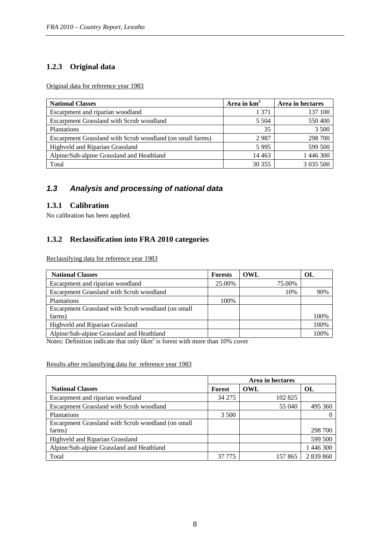#### **1.2.3 Original data**

Original data for reference year 1983

| <b>National Classes</b>                                   | Area in $km2$ | Area in hectares |
|-----------------------------------------------------------|---------------|------------------|
| Escarpment and riparian woodland                          | 1 371         | 137 100          |
| Escarpment Grassland with Scrub woodland                  | 5 5 0 4       | 550 400          |
| Plantations                                               | 35            | 3 500            |
| Escarpment Grassland with Scrub woodland (on small farms) | 2987          | 298 700          |
| Highveld and Riparian Grassland                           | 5995          | 599 500          |
| Alpine/Sub-alpine Grassland and Heathland                 | 14 4 63       | 1 446 300        |
| Total                                                     | 30 355        | 3 0 3 5 5 0 0    |

#### *1.3 Analysis and processing of national data*

#### **1.3.1 Calibration**

No calibration has been applied.

#### **1.3.2 Reclassification into FRA 2010 categories**

Reclassifying data for reference year 1983

| <b>National Classes</b>                            | Forests | OWL    | OL   |
|----------------------------------------------------|---------|--------|------|
| Escarpment and riparian woodland                   | 25.00%  | 75.00% |      |
| Escarpment Grassland with Scrub woodland           |         | 10%    | 90%  |
| <b>Plantations</b>                                 | 100%    |        |      |
| Escarpment Grassland with Scrub woodland (on small |         |        |      |
| farms)                                             |         |        | 100% |
| Highveld and Riparian Grassland                    |         |        | 100% |
| Alpine/Sub-alpine Grassland and Heathland          |         |        | 100% |

Notes: Definition indicate that only  $6km^2$  is forest with more than 10% cover

Results after reclassifying data for reference year 1983

|                                                    | Area in hectares |         |           |
|----------------------------------------------------|------------------|---------|-----------|
| <b>National Classes</b>                            | <b>Forest</b>    | OWL     | OL        |
| Escarpment and riparian woodland                   | 34 275           | 102 825 |           |
| Escarpment Grassland with Scrub woodland           |                  | 55 040  | 495 360   |
| <b>Plantations</b>                                 | 3 500            |         |           |
| Escarpment Grassland with Scrub woodland (on small |                  |         |           |
| farms)                                             |                  |         | 298 700   |
| Highveld and Riparian Grassland                    |                  |         | 599 500   |
| Alpine/Sub-alpine Grassland and Heathland          |                  |         | 1 446 300 |
| Total                                              | 37 775           | 157 865 | 2 839 860 |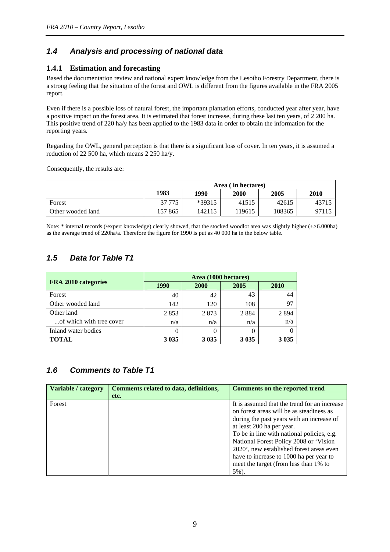#### *1.4 Analysis and processing of national data*

#### **1.4.1 Estimation and forecasting**

Based the documentation review and national expert knowledge from the Lesotho Forestry Department, there is a strong feeling that the situation of the forest and OWL is different from the figures available in the FRA 2005 report.

Even if there is a possible loss of natural forest, the important plantation efforts, conducted year after year, have a positive impact on the forest area. It is estimated that forest increase, during these last ten years, of 2 200 ha. This positive trend of 220 ha/y has been applied to the 1983 data in order to obtain the information for the reporting years.

Regarding the OWL, general perception is that there is a significant loss of cover. In ten years, it is assumed a reduction of 22 500 ha, which means 2 250 ha/y.

Consequently, the results are:

|                   | Area (in hectares) |        |        |        |       |
|-------------------|--------------------|--------|--------|--------|-------|
|                   | 1983               | 1990   | 2000   | 2005   | 2010  |
| Forest            | 37 775             | *39315 | 41515  | 42615  | 43715 |
| Other wooded land | 157 865            | 142115 | 119615 | 108365 | 97115 |

Note: \* internal records (/expert knowledge) clearly showed, that the stocked woodlot area was slightly higher (+>6.000ha) as the average trend of 220ha/a. Therefore the figure for 1990 is put as 40 000 ha in the below table.

#### *1.5 Data for Table T1*

|                          | Area (1000 hectares) |         |         |         |  |
|--------------------------|----------------------|---------|---------|---------|--|
| FRA 2010 categories      | 1990                 | 2000    | 2005    | 2010    |  |
| Forest                   | 40                   | 42      | 43      | 44      |  |
| Other wooded land        | 142                  | 120     | 108     | 97      |  |
| Other land               | 2853                 | 2873    | 2 8 8 4 | 2894    |  |
| of which with tree cover | n/a                  | n/a     | n/a     | n/a     |  |
| Inland water bodies      |                      | 0       |         |         |  |
| <b>TOTAL</b>             | 3 0 3 5              | 3 0 3 5 | 3 0 3 5 | 3 0 3 5 |  |

#### *1.6 Comments to Table T1*

| Variable / category | Comments related to data, definitions, | <b>Comments on the reported trend</b>                                                                                                                                                                                                                                                                                                                                                      |
|---------------------|----------------------------------------|--------------------------------------------------------------------------------------------------------------------------------------------------------------------------------------------------------------------------------------------------------------------------------------------------------------------------------------------------------------------------------------------|
|                     | etc.                                   |                                                                                                                                                                                                                                                                                                                                                                                            |
| Forest              |                                        | It is assumed that the trend for an increase<br>on forest areas will be as steadiness as<br>during the past years with an increase of<br>at least 200 ha per year.<br>To be in line with national policies, e.g.<br>National Forest Policy 2008 or 'Vision<br>2020', new established forest areas even<br>have to increase to 1000 ha per year to<br>meet the target (from less than 1% to |
|                     |                                        | $5\%$ ).                                                                                                                                                                                                                                                                                                                                                                                   |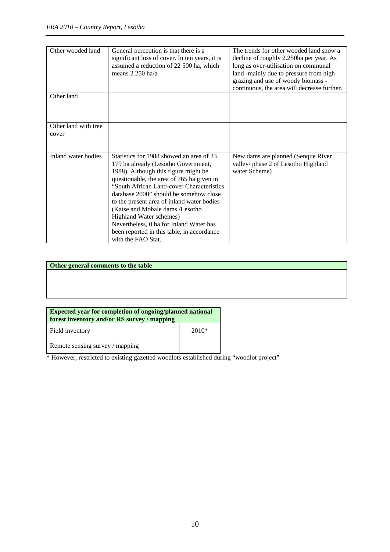| Other wooded land             | General perception is that there is a<br>significant loss of cover. In ten years, it is<br>assumed a reduction of 22 500 ha, which<br>means 2 250 ha/a                                                                                                                                                                                                                                                                                                                                 | The trends for other wooded land show a<br>decline of roughly 2.250ha per year. As<br>long as over-utilisation on communal<br>land -mainly due to pressure from high<br>grazing and use of woody biomass -<br>continuous, the area will decrease further. |
|-------------------------------|----------------------------------------------------------------------------------------------------------------------------------------------------------------------------------------------------------------------------------------------------------------------------------------------------------------------------------------------------------------------------------------------------------------------------------------------------------------------------------------|-----------------------------------------------------------------------------------------------------------------------------------------------------------------------------------------------------------------------------------------------------------|
| Other land                    |                                                                                                                                                                                                                                                                                                                                                                                                                                                                                        |                                                                                                                                                                                                                                                           |
| Other land with tree<br>cover |                                                                                                                                                                                                                                                                                                                                                                                                                                                                                        |                                                                                                                                                                                                                                                           |
| Inland water bodies           | Statistics for 1988 showed an area of 33<br>179 ha already (Lesotho Government,<br>1988). Although this figure might be<br>questionable, the area of 765 ha given in<br>"South African Land-cover Characteristics<br>database 2000" should be somehow close<br>to the present area of inland water bodies<br>(Katse and Mohale dams /Lesotho<br>Highland Water schemes)<br>Nevertheless, 0 ha for Inland Water has<br>been reported in this table, in accordance<br>with the FAO Stat. | New dams are planned (Senque River<br>valley/ phase 2 of Lesotho Highland<br>water Scheme)                                                                                                                                                                |

#### **Other general comments to the table**

| <b>Expected year for completion of ongoing/planned national</b><br>forest inventory and/or RS survey / mapping |       |  |  |  |
|----------------------------------------------------------------------------------------------------------------|-------|--|--|--|
| Field inventory                                                                                                | 2010* |  |  |  |
| Remote sensing survey / mapping                                                                                |       |  |  |  |

\* However, restricted to existing gazetted woodlots established during "woodlot project"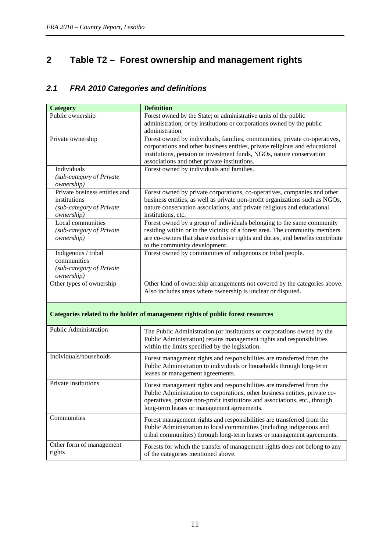# <span id="page-10-0"></span>**2 Table T2 – Forest ownership and management rights**

## *2.1 FRA 2010 Categories and definitions*

| Public ownership<br>Forest owned by the State; or administrative units of the public<br>administration; or by institutions or corporations owned by the public<br>administration.<br>Private ownership<br>Forest owned by individuals, families, communities, private co-operatives,<br>corporations and other business entities, private religious and educational<br>institutions, pension or investment funds, NGOs, nature conservation<br>associations and other private institutions.<br>Individuals<br>Forest owned by individuals and families.<br>(sub-category of Private<br><i>ownership</i> )<br>Private business entities and<br>Forest owned by private corporations, co-operatives, companies and other<br>business entities, as well as private non-profit organizations such as NGOs,<br>institutions<br>nature conservation associations, and private religious and educational<br>(sub-category of Private<br>institutions, etc.<br><i>ownership</i> )<br>Local communities<br>Forest owned by a group of individuals belonging to the same community<br>residing within or in the vicinity of a forest area. The community members<br>(sub-category of Private<br>are co-owners that share exclusive rights and duties, and benefits contribute<br>ownership)<br>to the community development.<br>Forest owned by communities of indigenous or tribal people.<br>Indigenous / tribal<br>communities<br>(sub-category of Private |
|-----------------------------------------------------------------------------------------------------------------------------------------------------------------------------------------------------------------------------------------------------------------------------------------------------------------------------------------------------------------------------------------------------------------------------------------------------------------------------------------------------------------------------------------------------------------------------------------------------------------------------------------------------------------------------------------------------------------------------------------------------------------------------------------------------------------------------------------------------------------------------------------------------------------------------------------------------------------------------------------------------------------------------------------------------------------------------------------------------------------------------------------------------------------------------------------------------------------------------------------------------------------------------------------------------------------------------------------------------------------------------------------------------------------------------------------------------|
|                                                                                                                                                                                                                                                                                                                                                                                                                                                                                                                                                                                                                                                                                                                                                                                                                                                                                                                                                                                                                                                                                                                                                                                                                                                                                                                                                                                                                                                     |
|                                                                                                                                                                                                                                                                                                                                                                                                                                                                                                                                                                                                                                                                                                                                                                                                                                                                                                                                                                                                                                                                                                                                                                                                                                                                                                                                                                                                                                                     |
|                                                                                                                                                                                                                                                                                                                                                                                                                                                                                                                                                                                                                                                                                                                                                                                                                                                                                                                                                                                                                                                                                                                                                                                                                                                                                                                                                                                                                                                     |
|                                                                                                                                                                                                                                                                                                                                                                                                                                                                                                                                                                                                                                                                                                                                                                                                                                                                                                                                                                                                                                                                                                                                                                                                                                                                                                                                                                                                                                                     |
|                                                                                                                                                                                                                                                                                                                                                                                                                                                                                                                                                                                                                                                                                                                                                                                                                                                                                                                                                                                                                                                                                                                                                                                                                                                                                                                                                                                                                                                     |
|                                                                                                                                                                                                                                                                                                                                                                                                                                                                                                                                                                                                                                                                                                                                                                                                                                                                                                                                                                                                                                                                                                                                                                                                                                                                                                                                                                                                                                                     |
|                                                                                                                                                                                                                                                                                                                                                                                                                                                                                                                                                                                                                                                                                                                                                                                                                                                                                                                                                                                                                                                                                                                                                                                                                                                                                                                                                                                                                                                     |
|                                                                                                                                                                                                                                                                                                                                                                                                                                                                                                                                                                                                                                                                                                                                                                                                                                                                                                                                                                                                                                                                                                                                                                                                                                                                                                                                                                                                                                                     |
|                                                                                                                                                                                                                                                                                                                                                                                                                                                                                                                                                                                                                                                                                                                                                                                                                                                                                                                                                                                                                                                                                                                                                                                                                                                                                                                                                                                                                                                     |
|                                                                                                                                                                                                                                                                                                                                                                                                                                                                                                                                                                                                                                                                                                                                                                                                                                                                                                                                                                                                                                                                                                                                                                                                                                                                                                                                                                                                                                                     |
|                                                                                                                                                                                                                                                                                                                                                                                                                                                                                                                                                                                                                                                                                                                                                                                                                                                                                                                                                                                                                                                                                                                                                                                                                                                                                                                                                                                                                                                     |
|                                                                                                                                                                                                                                                                                                                                                                                                                                                                                                                                                                                                                                                                                                                                                                                                                                                                                                                                                                                                                                                                                                                                                                                                                                                                                                                                                                                                                                                     |
|                                                                                                                                                                                                                                                                                                                                                                                                                                                                                                                                                                                                                                                                                                                                                                                                                                                                                                                                                                                                                                                                                                                                                                                                                                                                                                                                                                                                                                                     |
|                                                                                                                                                                                                                                                                                                                                                                                                                                                                                                                                                                                                                                                                                                                                                                                                                                                                                                                                                                                                                                                                                                                                                                                                                                                                                                                                                                                                                                                     |
|                                                                                                                                                                                                                                                                                                                                                                                                                                                                                                                                                                                                                                                                                                                                                                                                                                                                                                                                                                                                                                                                                                                                                                                                                                                                                                                                                                                                                                                     |
|                                                                                                                                                                                                                                                                                                                                                                                                                                                                                                                                                                                                                                                                                                                                                                                                                                                                                                                                                                                                                                                                                                                                                                                                                                                                                                                                                                                                                                                     |
|                                                                                                                                                                                                                                                                                                                                                                                                                                                                                                                                                                                                                                                                                                                                                                                                                                                                                                                                                                                                                                                                                                                                                                                                                                                                                                                                                                                                                                                     |
|                                                                                                                                                                                                                                                                                                                                                                                                                                                                                                                                                                                                                                                                                                                                                                                                                                                                                                                                                                                                                                                                                                                                                                                                                                                                                                                                                                                                                                                     |
|                                                                                                                                                                                                                                                                                                                                                                                                                                                                                                                                                                                                                                                                                                                                                                                                                                                                                                                                                                                                                                                                                                                                                                                                                                                                                                                                                                                                                                                     |
|                                                                                                                                                                                                                                                                                                                                                                                                                                                                                                                                                                                                                                                                                                                                                                                                                                                                                                                                                                                                                                                                                                                                                                                                                                                                                                                                                                                                                                                     |
|                                                                                                                                                                                                                                                                                                                                                                                                                                                                                                                                                                                                                                                                                                                                                                                                                                                                                                                                                                                                                                                                                                                                                                                                                                                                                                                                                                                                                                                     |
| ownership)                                                                                                                                                                                                                                                                                                                                                                                                                                                                                                                                                                                                                                                                                                                                                                                                                                                                                                                                                                                                                                                                                                                                                                                                                                                                                                                                                                                                                                          |
| Other types of ownership<br>Other kind of ownership arrangements not covered by the categories above.                                                                                                                                                                                                                                                                                                                                                                                                                                                                                                                                                                                                                                                                                                                                                                                                                                                                                                                                                                                                                                                                                                                                                                                                                                                                                                                                               |
| Also includes areas where ownership is unclear or disputed.                                                                                                                                                                                                                                                                                                                                                                                                                                                                                                                                                                                                                                                                                                                                                                                                                                                                                                                                                                                                                                                                                                                                                                                                                                                                                                                                                                                         |
|                                                                                                                                                                                                                                                                                                                                                                                                                                                                                                                                                                                                                                                                                                                                                                                                                                                                                                                                                                                                                                                                                                                                                                                                                                                                                                                                                                                                                                                     |
| Categories related to the holder of management rights of public forest resources                                                                                                                                                                                                                                                                                                                                                                                                                                                                                                                                                                                                                                                                                                                                                                                                                                                                                                                                                                                                                                                                                                                                                                                                                                                                                                                                                                    |
|                                                                                                                                                                                                                                                                                                                                                                                                                                                                                                                                                                                                                                                                                                                                                                                                                                                                                                                                                                                                                                                                                                                                                                                                                                                                                                                                                                                                                                                     |
| <b>Public Administration</b>                                                                                                                                                                                                                                                                                                                                                                                                                                                                                                                                                                                                                                                                                                                                                                                                                                                                                                                                                                                                                                                                                                                                                                                                                                                                                                                                                                                                                        |
| The Public Administration (or institutions or corporations owned by the                                                                                                                                                                                                                                                                                                                                                                                                                                                                                                                                                                                                                                                                                                                                                                                                                                                                                                                                                                                                                                                                                                                                                                                                                                                                                                                                                                             |
| Public Administration) retains management rights and responsibilities                                                                                                                                                                                                                                                                                                                                                                                                                                                                                                                                                                                                                                                                                                                                                                                                                                                                                                                                                                                                                                                                                                                                                                                                                                                                                                                                                                               |
| within the limits specified by the legislation.                                                                                                                                                                                                                                                                                                                                                                                                                                                                                                                                                                                                                                                                                                                                                                                                                                                                                                                                                                                                                                                                                                                                                                                                                                                                                                                                                                                                     |
| Individuals/households<br>Forest management rights and responsibilities are transferred from the                                                                                                                                                                                                                                                                                                                                                                                                                                                                                                                                                                                                                                                                                                                                                                                                                                                                                                                                                                                                                                                                                                                                                                                                                                                                                                                                                    |
| Public Administration to individuals or households through long-term                                                                                                                                                                                                                                                                                                                                                                                                                                                                                                                                                                                                                                                                                                                                                                                                                                                                                                                                                                                                                                                                                                                                                                                                                                                                                                                                                                                |
| leases or management agreements.                                                                                                                                                                                                                                                                                                                                                                                                                                                                                                                                                                                                                                                                                                                                                                                                                                                                                                                                                                                                                                                                                                                                                                                                                                                                                                                                                                                                                    |
| Private institutions                                                                                                                                                                                                                                                                                                                                                                                                                                                                                                                                                                                                                                                                                                                                                                                                                                                                                                                                                                                                                                                                                                                                                                                                                                                                                                                                                                                                                                |
| Forest management rights and responsibilities are transferred from the<br>Public Administration to corporations, other business entities, private co-                                                                                                                                                                                                                                                                                                                                                                                                                                                                                                                                                                                                                                                                                                                                                                                                                                                                                                                                                                                                                                                                                                                                                                                                                                                                                               |
|                                                                                                                                                                                                                                                                                                                                                                                                                                                                                                                                                                                                                                                                                                                                                                                                                                                                                                                                                                                                                                                                                                                                                                                                                                                                                                                                                                                                                                                     |
|                                                                                                                                                                                                                                                                                                                                                                                                                                                                                                                                                                                                                                                                                                                                                                                                                                                                                                                                                                                                                                                                                                                                                                                                                                                                                                                                                                                                                                                     |
| operatives, private non-profit institutions and associations, etc., through                                                                                                                                                                                                                                                                                                                                                                                                                                                                                                                                                                                                                                                                                                                                                                                                                                                                                                                                                                                                                                                                                                                                                                                                                                                                                                                                                                         |
| long-term leases or management agreements.                                                                                                                                                                                                                                                                                                                                                                                                                                                                                                                                                                                                                                                                                                                                                                                                                                                                                                                                                                                                                                                                                                                                                                                                                                                                                                                                                                                                          |
| Communities<br>Forest management rights and responsibilities are transferred from the                                                                                                                                                                                                                                                                                                                                                                                                                                                                                                                                                                                                                                                                                                                                                                                                                                                                                                                                                                                                                                                                                                                                                                                                                                                                                                                                                               |
| Public Administration to local communities (including indigenous and                                                                                                                                                                                                                                                                                                                                                                                                                                                                                                                                                                                                                                                                                                                                                                                                                                                                                                                                                                                                                                                                                                                                                                                                                                                                                                                                                                                |
| tribal communities) through long-term leases or management agreements.                                                                                                                                                                                                                                                                                                                                                                                                                                                                                                                                                                                                                                                                                                                                                                                                                                                                                                                                                                                                                                                                                                                                                                                                                                                                                                                                                                              |
| Other form of management<br>Forests for which the transfer of management rights does not belong to any                                                                                                                                                                                                                                                                                                                                                                                                                                                                                                                                                                                                                                                                                                                                                                                                                                                                                                                                                                                                                                                                                                                                                                                                                                                                                                                                              |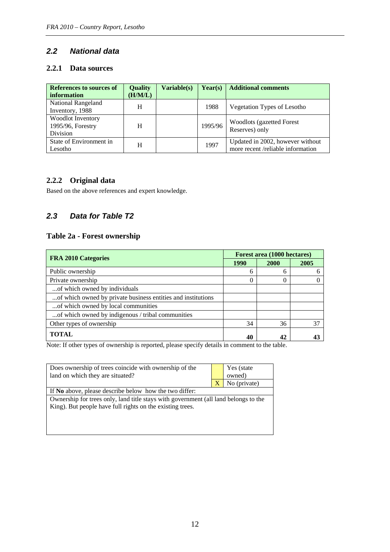#### *2.2 National data*

#### **2.2.1 Data sources**

| References to sources of<br>information            | <b>Quality</b><br>(H/M/L) | Variable(s) | Year(s) | <b>Additional comments</b>                                            |
|----------------------------------------------------|---------------------------|-------------|---------|-----------------------------------------------------------------------|
| <b>National Rangeland</b><br>Inventory, 1988       | H                         |             | 1988    | Vegetation Types of Lesotho                                           |
| Woodlot Inventory<br>1995/96, Forestry<br>Division | H                         |             | 1995/96 | <b>Woodlots (gazetted Forest)</b><br>Reserves) only                   |
| State of Environment in<br>Lesotho                 | H                         |             | 1997    | Updated in 2002, however without<br>more recent /reliable information |

#### **2.2.2 Original data**

Based on the above references and expert knowledge.

#### *2.3 Data for Table T2*

#### **Table 2a - Forest ownership**

| <b>FRA 2010 Categories</b>                                   | Forest area (1000 hectares) |             |      |  |
|--------------------------------------------------------------|-----------------------------|-------------|------|--|
|                                                              | 1990                        | <b>2000</b> | 2005 |  |
| Public ownership                                             | h                           | 6           |      |  |
| Private ownership                                            |                             | 0           |      |  |
| of which owned by individuals                                |                             |             |      |  |
| of which owned by private business entities and institutions |                             |             |      |  |
| of which owned by local communities                          |                             |             |      |  |
| of which owned by indigenous / tribal communities            |                             |             |      |  |
| Other types of ownership                                     | 34                          | 36          | 37   |  |
| <b>TOTAL</b>                                                 | 40                          | 42          |      |  |

Note: If other types of ownership is reported, please specify details in comment to the table.

|                                                                                     | Yes (state   |  |  |  |
|-------------------------------------------------------------------------------------|--------------|--|--|--|
|                                                                                     | owned)       |  |  |  |
| X                                                                                   | No (private) |  |  |  |
| If No above, please describe below how the two differ:                              |              |  |  |  |
| Ownership for trees only, land title stays with government (all land belongs to the |              |  |  |  |
| King). But people have full rights on the existing trees.                           |              |  |  |  |
|                                                                                     |              |  |  |  |
|                                                                                     |              |  |  |  |
|                                                                                     |              |  |  |  |
|                                                                                     |              |  |  |  |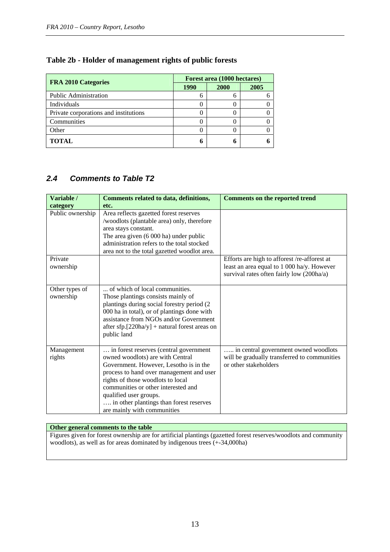| <b>FRA 2010 Categories</b>            | Forest area (1000 hectares) |      |      |  |  |
|---------------------------------------|-----------------------------|------|------|--|--|
|                                       | 1990                        | 2000 | 2005 |  |  |
| <b>Public Administration</b>          |                             | h    |      |  |  |
| Individuals                           |                             |      |      |  |  |
| Private corporations and institutions |                             | 0    |      |  |  |
| Communities                           |                             |      |      |  |  |
| Other                                 |                             |      |      |  |  |
| <b>TOTAL</b>                          |                             | n    |      |  |  |

#### **Table 2b - Holder of management rights of public forests**

#### *2.4 Comments to Table T2*

| Variable /                  | Comments related to data, definitions,                                                                                                                                                                                                                                                                                                           | <b>Comments on the reported trend</b>                                                                                                   |
|-----------------------------|--------------------------------------------------------------------------------------------------------------------------------------------------------------------------------------------------------------------------------------------------------------------------------------------------------------------------------------------------|-----------------------------------------------------------------------------------------------------------------------------------------|
| category                    | etc.                                                                                                                                                                                                                                                                                                                                             |                                                                                                                                         |
| Public ownership            | Area reflects gazetted forest reserves<br>/woodlots (plantable area) only, therefore<br>area stays constant.<br>The area given (6 000 ha) under public<br>administration refers to the total stocked<br>area not to the total gazetted woodlot area.                                                                                             |                                                                                                                                         |
| Private<br>ownership        |                                                                                                                                                                                                                                                                                                                                                  | Efforts are high to afforest /re-afforest at<br>least an area equal to 1 000 ha/y. However<br>survival rates often fairly low (200ha/a) |
| Other types of<br>ownership | of which of local communities.<br>Those plantings consists mainly of<br>plantings during social forestry period (2)<br>000 ha in total), or of plantings done with<br>assistance from NGOs and/or Government<br>after $sfp.[220ha/y] + natural forest areas on$<br>public land                                                                   |                                                                                                                                         |
| Management<br>rights        | in forest reserves (central government<br>owned woodlots) are with Central<br>Government. However, Lesotho is in the<br>process to hand over management and user<br>rights of those woodlots to local<br>communities or other interested and<br>qualified user groups.<br>in other plantings than forest reserves<br>are mainly with communities | in central government owned woodlots<br>will be gradually transferred to communities<br>or other stakeholders                           |

#### **Other general comments to the table**

Figures given for forest ownership are for artificial plantings (gazetted forest reserves/woodlots and community woodlots), as well as for areas dominated by indigenous trees  $(+34,000$ ha)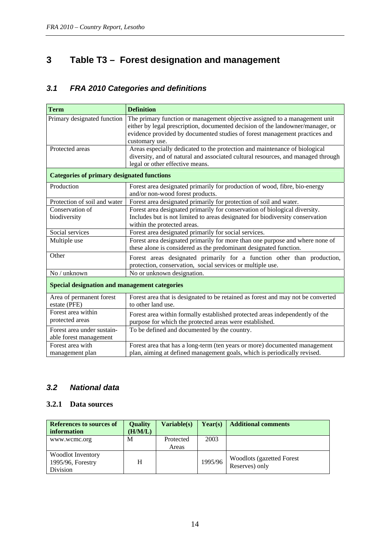# <span id="page-13-0"></span>**3 Table T3 – Forest designation and management**

# *3.1 FRA 2010 Categories and definitions*

| <b>Term</b>                                          | <b>Definition</b>                                                                |
|------------------------------------------------------|----------------------------------------------------------------------------------|
| Primary designated function                          | The primary function or management objective assigned to a management unit       |
|                                                      | either by legal prescription, documented decision of the landowner/manager, or   |
|                                                      | evidence provided by documented studies of forest management practices and       |
|                                                      | customary use.                                                                   |
| Protected areas                                      | Areas especially dedicated to the protection and maintenance of biological       |
|                                                      | diversity, and of natural and associated cultural resources, and managed through |
|                                                      | legal or other effective means.                                                  |
| <b>Categories of primary designated functions</b>    |                                                                                  |
| Production                                           | Forest area designated primarily for production of wood, fibre, bio-energy       |
|                                                      | and/or non-wood forest products.                                                 |
| Protection of soil and water                         | Forest area designated primarily for protection of soil and water.               |
| Conservation of                                      | Forest area designated primarily for conservation of biological diversity.       |
| biodiversity                                         | Includes but is not limited to areas designated for biodiversity conservation    |
|                                                      | within the protected areas.                                                      |
| Social services                                      | Forest area designated primarily for social services.                            |
| Multiple use                                         | Forest area designated primarily for more than one purpose and where none of     |
|                                                      | these alone is considered as the predominant designated function.                |
| Other                                                | Forest areas designated primarily for a function other than production,          |
|                                                      | protection, conservation, social services or multiple use.                       |
| No / unknown                                         | No or unknown designation.                                                       |
| <b>Special designation and management categories</b> |                                                                                  |
| Area of permanent forest                             | Forest area that is designated to be retained as forest and may not be converted |
| estate (PFE)                                         | to other land use.                                                               |
| Forest area within                                   | Forest area within formally established protected areas independently of the     |
| protected areas                                      | purpose for which the protected areas were established.                          |
| Forest area under sustain-                           | To be defined and documented by the country.                                     |
| able forest management                               |                                                                                  |
| Forest area with                                     | Forest area that has a long-term (ten years or more) documented management       |
| management plan                                      | plan, aiming at defined management goals, which is periodically revised.         |

#### *3.2 National data*

#### **3.2.1 Data sources**

| References to sources of<br>information                   | <b>Quality</b><br>(H/M/L) | <b>Variable(s)</b> | Year(s) | <b>Additional comments</b>                          |
|-----------------------------------------------------------|---------------------------|--------------------|---------|-----------------------------------------------------|
| www.wcmc.org                                              | M                         | Protected<br>Areas | 2003    |                                                     |
| <b>Woodlot Inventory</b><br>1995/96, Forestry<br>Division | H                         |                    | 1995/96 | <b>Woodlots (gazetted Forest)</b><br>Reserves) only |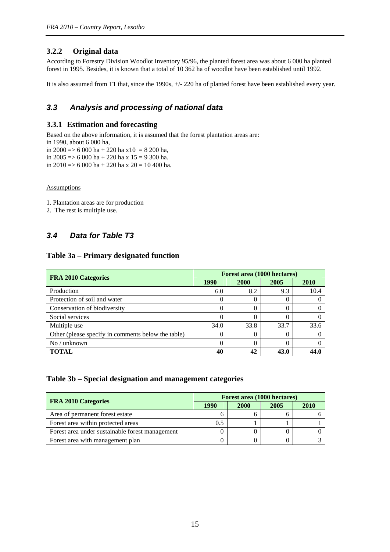#### **3.2.2 Original data**

According to Forestry Division Woodlot Inventory 95/96, the planted forest area was about 6 000 ha planted forest in 1995. Besides, it is known that a total of 10 362 ha of woodlot have been established until 1992.

It is also assumed from T1 that, since the 1990s, +/- 220 ha of planted forest have been established every year.

#### *3.3 Analysis and processing of national data*

#### **3.3.1 Estimation and forecasting**

Based on the above information, it is assumed that the forest plantation areas are: in 1990, about 6 000 ha,

in 2000 => 6 000 ha + 220 ha x10 = 8 200 ha, in 2005 => 6 000 ha + 220 ha x 15 = 9 300 ha.

in 2010 => 6 000 ha + 220 ha x 20 = 10 400 ha.

Assumptions

1. Plantation areas are for production

2. The rest is multiple use.

#### *3.4 Data for Table T3*

#### **Table 3a – Primary designated function**

| <b>FRA 2010 Categories</b>                         | Forest area (1000 hectares) |          |      |      |  |
|----------------------------------------------------|-----------------------------|----------|------|------|--|
|                                                    | <b>1990</b>                 | 2000     | 2005 | 2010 |  |
| Production                                         | 6.0                         | 8.2      | 9.3  | 10.4 |  |
| Protection of soil and water                       |                             | 0        |      |      |  |
| Conservation of biodiversity                       |                             | $\theta$ |      |      |  |
| Social services                                    |                             | 0        |      |      |  |
| Multiple use                                       | 34.0                        | 33.8     | 33.7 | 33.6 |  |
| Other (please specify in comments below the table) |                             | $\theta$ |      |      |  |
| $No$ / unknown                                     |                             | 0        |      |      |  |
| <b>TOTAL</b>                                       | 40                          | 42       | 43.0 | 44'  |  |

#### **Table 3b – Special designation and management categories**

| <b>FRA 2010 Categories</b>                      | Forest area (1000 hectares) |             |      |      |  |
|-------------------------------------------------|-----------------------------|-------------|------|------|--|
|                                                 | 1990                        | <b>2000</b> | 2005 | 2010 |  |
| Area of permanent forest estate                 |                             |             |      |      |  |
| Forest area within protected areas              | 0.5                         |             |      |      |  |
| Forest area under sustainable forest management |                             |             |      |      |  |
| Forest area with management plan                |                             |             |      |      |  |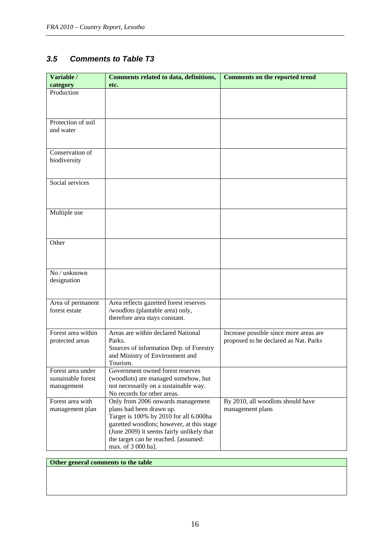#### *3.5 Comments to Table T3*

| Variable /<br>category | <b>Comments related to data, definitions,</b><br>etc.                      | <b>Comments on the reported trend</b>  |
|------------------------|----------------------------------------------------------------------------|----------------------------------------|
| Production             |                                                                            |                                        |
|                        |                                                                            |                                        |
|                        |                                                                            |                                        |
|                        |                                                                            |                                        |
| Protection of soil     |                                                                            |                                        |
| and water              |                                                                            |                                        |
|                        |                                                                            |                                        |
|                        |                                                                            |                                        |
| Conservation of        |                                                                            |                                        |
| biodiversity           |                                                                            |                                        |
|                        |                                                                            |                                        |
| Social services        |                                                                            |                                        |
|                        |                                                                            |                                        |
|                        |                                                                            |                                        |
|                        |                                                                            |                                        |
| Multiple use           |                                                                            |                                        |
|                        |                                                                            |                                        |
|                        |                                                                            |                                        |
|                        |                                                                            |                                        |
| Other                  |                                                                            |                                        |
|                        |                                                                            |                                        |
|                        |                                                                            |                                        |
| No / unknown           |                                                                            |                                        |
| designation            |                                                                            |                                        |
|                        |                                                                            |                                        |
|                        |                                                                            |                                        |
| Area of permanent      | Area reflects gazetted forest reserves                                     |                                        |
| forest estate          | /woodlots (plantable area) only,                                           |                                        |
|                        | therefore area stays constant.                                             |                                        |
|                        |                                                                            |                                        |
| Forest area within     | Areas are within declared National<br>Parks.                               | Increase possible since more areas are |
| protected areas        |                                                                            | proposed to be declared as Nat. Parks  |
|                        | Sources of information Dep. of Forestry<br>and Ministry of Environment and |                                        |
|                        | Tourism.                                                                   |                                        |
| Forest area under      | Government owned forest reserves                                           |                                        |
| sustainable forest     | (woodlots) are managed somehow, but                                        |                                        |
| management             | not necessarily on a sustainable way.                                      |                                        |
|                        | No records for other areas.                                                |                                        |
| Forest area with       | Only from 2006 onwards management                                          | By 2010, all woodlots should have      |
| management plan        | plans had been drawn up.                                                   | management plans                       |
|                        | Target is 100% by 2010 for all 6.000ha                                     |                                        |
|                        | gazetted woodlots; however, at this stage                                  |                                        |
|                        | (June 2009) it seems fairly unlikely that                                  |                                        |
|                        | the target can be reached. [assumed:                                       |                                        |
|                        | max. of 3 000 ha].                                                         |                                        |

#### **Other general comments to the table**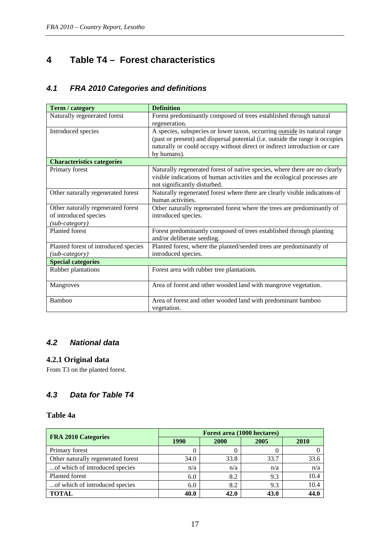# <span id="page-16-0"></span>**4 Table T4 – Forest characteristics**

#### *4.1 FRA 2010 Categories and definitions*

| Term / category                      | <b>Definition</b>                                                             |
|--------------------------------------|-------------------------------------------------------------------------------|
| Naturally regenerated forest         | Forest predominantly composed of trees established through natural            |
|                                      | regeneration.                                                                 |
| Introduced species                   | A species, subspecies or lower taxon, occurring outside its natural range     |
|                                      | (past or present) and dispersal potential (i.e. outside the range it occupies |
|                                      | naturally or could occupy without direct or indirect introduction or care     |
|                                      | by humans).                                                                   |
| <b>Characteristics categories</b>    |                                                                               |
| Primary forest                       | Naturally regenerated forest of native species, where there are no clearly    |
|                                      | visible indications of human activities and the ecological processes are      |
|                                      | not significantly disturbed.                                                  |
| Other naturally regenerated forest   | Naturally regenerated forest where there are clearly visible indications of   |
|                                      | human activities.                                                             |
| Other naturally regenerated forest   | Other naturally regenerated forest where the trees are predominantly of       |
| of introduced species                | introduced species.                                                           |
| (sub-category)                       |                                                                               |
| Planted forest                       | Forest predominantly composed of trees established through planting           |
|                                      | and/or deliberate seeding.                                                    |
| Planted forest of introduced species | Planted forest, where the planted/seeded trees are predominantly of           |
| (sub-category)                       | introduced species.                                                           |
| <b>Special categories</b>            |                                                                               |
| Rubber plantations                   | Forest area with rubber tree plantations.                                     |
|                                      |                                                                               |
| Mangroves                            | Area of forest and other wooded land with mangrove vegetation.                |
|                                      |                                                                               |
| Bamboo                               | Area of forest and other wooded land with predominant bamboo                  |
|                                      | vegetation.                                                                   |

### *4.2 National data*

#### **4.2.1 Original data**

From T3 on the planted forest.

#### *4.3 Data for Table T4*

#### **Table 4a**

| <b>FRA 2010 Categories</b>         | Forest area (1000 hectares) |      |      |      |  |  |  |
|------------------------------------|-----------------------------|------|------|------|--|--|--|
|                                    | <b>1990</b>                 | 2000 | 2005 | 2010 |  |  |  |
| Primary forest                     |                             |      |      |      |  |  |  |
| Other naturally regenerated forest | 34.0                        | 33.8 | 33.7 | 33.6 |  |  |  |
| of which of introduced species     | n/a                         | n/a  | n/a  | n/a  |  |  |  |
| Planted forest                     | 6.0                         | 8.2  | 9.3  | 10.4 |  |  |  |
| of which of introduced species     | 6.0                         | 8.2  | 9.3  | 10.4 |  |  |  |
| <b>TOTAL</b>                       | 40.0                        | 42.0 | 43.0 | 44.0 |  |  |  |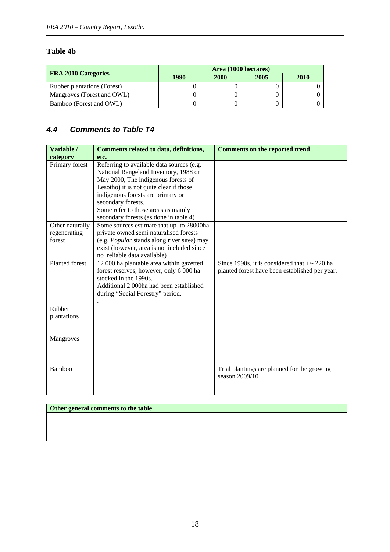#### **Table 4b**

| <b>FRA 2010 Categories</b>         | Area (1000 hectares) |      |      |      |  |  |  |
|------------------------------------|----------------------|------|------|------|--|--|--|
|                                    | 1990                 | 2000 | 2005 | 2010 |  |  |  |
| <b>Rubber plantations (Forest)</b> |                      |      |      |      |  |  |  |
| Mangroves (Forest and OWL)         |                      |      |      |      |  |  |  |
| Bamboo (Forest and OWL)            |                      |      |      |      |  |  |  |

# *4.4 Comments to Table T4*

| Variable /            | <b>Comments related to data, definitions,</b> | <b>Comments on the reported trend</b>           |
|-----------------------|-----------------------------------------------|-------------------------------------------------|
| category              | etc.                                          |                                                 |
| Primary forest        | Referring to available data sources (e.g.     |                                                 |
|                       | National Rangeland Inventory, 1988 or         |                                                 |
|                       | May 2000, The indigenous forests of           |                                                 |
|                       | Lesotho) it is not quite clear if those       |                                                 |
|                       | indigenous forests are primary or             |                                                 |
|                       | secondary forests.                            |                                                 |
|                       | Some refer to those areas as mainly           |                                                 |
|                       | secondary forests (as done in table 4)        |                                                 |
| Other naturally       | Some sources estimate that up to 28000ha      |                                                 |
| regenerating          | private owned semi naturalised forests        |                                                 |
| forest                | (e.g. Popular stands along river sites) may   |                                                 |
|                       | exist (however, area is not included since    |                                                 |
|                       | no reliable data available)                   |                                                 |
| <b>Planted forest</b> | 12 000 ha plantable area within gazetted      | Since 1990s, it is considered that $+/- 220$ ha |
|                       | forest reserves, however, only 6 000 ha       | planted forest have been established per year.  |
|                       | stocked in the 1990s.                         |                                                 |
|                       | Additional 2000ha had been established        |                                                 |
|                       | during "Social Forestry" period.              |                                                 |
|                       |                                               |                                                 |
| Rubber                |                                               |                                                 |
| plantations           |                                               |                                                 |
|                       |                                               |                                                 |
|                       |                                               |                                                 |
| Mangroves             |                                               |                                                 |
|                       |                                               |                                                 |
|                       |                                               |                                                 |
|                       |                                               |                                                 |
| Bamboo                |                                               | Trial plantings are planned for the growing     |
|                       |                                               | season 2009/10                                  |
|                       |                                               |                                                 |
|                       |                                               |                                                 |

#### **Other general comments to the table**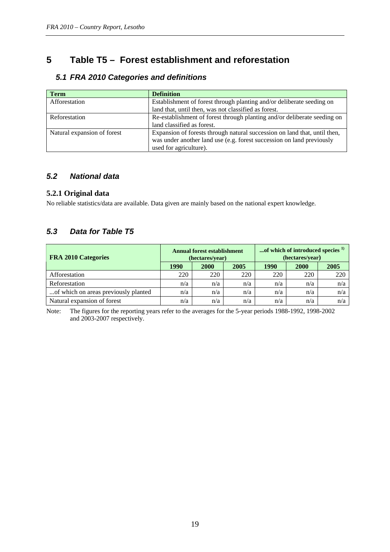# <span id="page-18-0"></span>**5 Table T5 – Forest establishment and reforestation**

| <b>Term</b>                 | <b>Definition</b>                                                                                                                                                            |
|-----------------------------|------------------------------------------------------------------------------------------------------------------------------------------------------------------------------|
| Afforestation               | Establishment of forest through planting and/or deliberate seeding on                                                                                                        |
|                             | land that, until then, was not classified as forest.                                                                                                                         |
| Reforestation               | Re-establishment of forest through planting and/or deliberate seeding on                                                                                                     |
|                             | land classified as forest.                                                                                                                                                   |
| Natural expansion of forest | Expansion of forests through natural succession on land that, until then,<br>was under another land use (e.g. forest succession on land previously<br>used for agriculture). |

#### *5.1 FRA 2010 Categories and definitions*

#### *5.2 National data*

#### **5.2.1 Original data**

No reliable statistics/data are available. Data given are mainly based on the national expert knowledge.

#### *5.3 Data for Table T5*

| <b>FRA 2010 Categories</b>           |      | <b>Annual forest establishment</b><br>(hectares/year) |      | of which of introduced species <sup>1)</sup><br>(hectares/year) |             |      |  |
|--------------------------------------|------|-------------------------------------------------------|------|-----------------------------------------------------------------|-------------|------|--|
|                                      | 1990 | <b>2000</b>                                           | 2005 | 1990                                                            | <b>2000</b> | 2005 |  |
| Afforestation                        | 220  | 220                                                   | 220  | 220                                                             | 220         | 220  |  |
| Reforestation                        | n/a  | n/a                                                   | n/a  | n/a                                                             | n/a         | n/a  |  |
| of which on areas previously planted | n/a  | n/a                                                   | n/a  | n/a                                                             | n/a         | n/a  |  |
| Natural expansion of forest          | n/a  | n/a                                                   | n/a  | n/a                                                             | n/a         | n/a  |  |

Note: The figures for the reporting years refer to the averages for the 5-year periods 1988-1992, 1998-2002 and 2003-2007 respectively.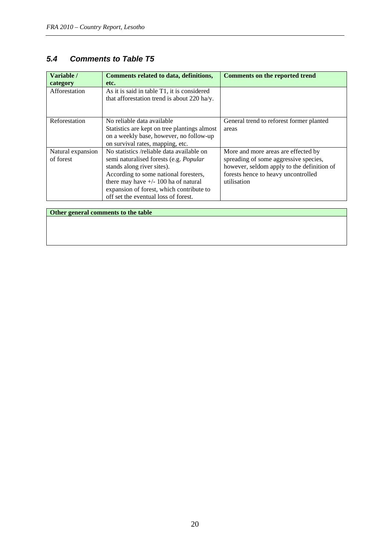#### *5.4 Comments to Table T5*

| Variable /<br>category         | Comments related to data, definitions,<br>etc.                                                                                                                                                                                                                                                  | Comments on the reported trend                                                                                                                                                   |
|--------------------------------|-------------------------------------------------------------------------------------------------------------------------------------------------------------------------------------------------------------------------------------------------------------------------------------------------|----------------------------------------------------------------------------------------------------------------------------------------------------------------------------------|
| Afforestation                  | As it is said in table T1, it is considered<br>that afforestation trend is about 220 ha/y.                                                                                                                                                                                                      |                                                                                                                                                                                  |
| Reforestation                  | No reliable data available<br>Statistics are kept on tree plantings almost<br>on a weekly base, however, no follow-up<br>on survival rates, mapping, etc.                                                                                                                                       | General trend to reforest former planted<br>areas                                                                                                                                |
| Natural expansion<br>of forest | No statistics /reliable data available on<br>semi naturalised forests (e.g. <i>Popular</i><br>stands along river sites).<br>According to some national foresters,<br>there may have $+/- 100$ ha of natural<br>expansion of forest, which contribute to<br>off set the eventual loss of forest. | More and more areas are effected by<br>spreading of some aggressive species,<br>however, seldom apply to the definition of<br>forests hence to heavy uncontrolled<br>utilisation |

**Other general comments to the table**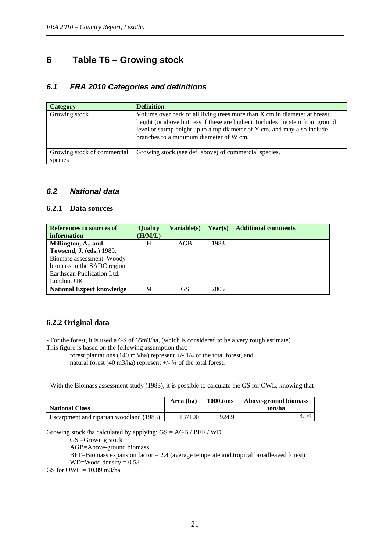# <span id="page-20-0"></span>**6 Table T6 – Growing stock**

#### *6.1 FRA 2010 Categories and definitions*

| <b>Category</b>                        | Definition                                                                                                                                                                                                                                                                        |
|----------------------------------------|-----------------------------------------------------------------------------------------------------------------------------------------------------------------------------------------------------------------------------------------------------------------------------------|
| Growing stock                          | Volume over bark of all living trees more than X cm in diameter at breast<br>height (or above buttress if these are higher). Includes the stem from ground<br>level or stump height up to a top diameter of Y cm, and may also include<br>branches to a minimum diameter of W cm. |
| Growing stock of commercial<br>species | Growing stock (see def. above) of commercial species.                                                                                                                                                                                                                             |

#### *6.2 National data*

#### **6.2.1 Data sources**

| References to sources of<br>information | <b>Quality</b><br>(H/M/L) | <b>Variable(s)</b> | Year(s) | <b>Additional comments</b> |
|-----------------------------------------|---------------------------|--------------------|---------|----------------------------|
| Millington, A., and                     | H                         | AGB                | 1983    |                            |
| <b>Towsend, J. (eds.) 1989.</b>         |                           |                    |         |                            |
| Biomass assessment. Woody               |                           |                    |         |                            |
| biomass in the SADC region.             |                           |                    |         |                            |
| Earthscan Publication Ltd.              |                           |                    |         |                            |
| London. UK                              |                           |                    |         |                            |
| <b>National Expert knowledge</b>        | M                         | GS                 | 2005    |                            |

#### **6.2.2 Original data**

- For the forest, it is used a GS of 65m3/ha, (which is considered to be a very rough estimate). This figure is based on the following assumption that:

 forest plantations (140 m3/ha) represent +/- 1/4 of the total forest, and natural forest (40 m3/ha) represent  $+/- 3/4$  of the total forest.

- With the Biomass assessment study (1983), it is possible to calculate the GS for OWL, knowing that

|                                         | Area (ha) | <b>1000.tons</b> | Above-ground biomass |
|-----------------------------------------|-----------|------------------|----------------------|
| <b>National Class</b>                   |           |                  | ton/ha               |
| Escarpment and riparian woodland (1983) | 137100    | 1924.9           | 14.04                |

Growing stock /ha calculated by applying: GS = AGB / BEF / WD

GS =Growing stock

AGB=Above-ground biomass

BEF=Biomass expansion factor = 2.4 (average temperate and tropical broadleaved forest) WD=Wood density =  $0.58$ 

GS for  $OWL = 10.09$  m3/ha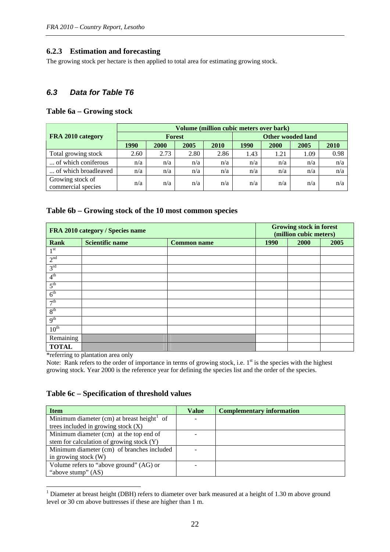#### **6.2.3 Estimation and forecasting**

The growing stock per hectare is then applied to total area for estimating growing stock.

#### *6.3 Data for Table T6*

#### **Table 6a – Growing stock**

|                                        | Volume (million cubic meters over bark) |             |      |      |                          |      |      |      |  |
|----------------------------------------|-----------------------------------------|-------------|------|------|--------------------------|------|------|------|--|
| FRA 2010 category                      | <b>Forest</b>                           |             |      |      | <b>Other wooded land</b> |      |      |      |  |
|                                        | 1990                                    | <b>2000</b> | 2005 | 2010 | 1990                     | 2000 | 2005 | 2010 |  |
| Total growing stock                    | 2.60                                    | 2.73        | 2.80 | 2.86 | 1.43                     | 1.21 | 1.09 | 0.98 |  |
| of which coniferous                    | n/a                                     | n/a         | n/a  | n/a  | n/a                      | n/a  | n/a  | n/a  |  |
| of which broadleaved                   | n/a                                     | n/a         | n/a  | n/a  | n/a                      | n/a  | n/a  | n/a  |  |
| Growing stock of<br>commercial species | n/a                                     | n/a         | n/a  | n/a  | n/a                      | n/a  | n/a  | n/a  |  |

#### **Table 6b – Growing stock of the 10 most common species**

|                  | FRA 2010 category / Species name |                    |      | <b>Growing stock in forest</b><br>(million cubic meters) |      |  |  |
|------------------|----------------------------------|--------------------|------|----------------------------------------------------------|------|--|--|
| <b>Rank</b>      | <b>Scientific name</b>           | <b>Common name</b> | 1990 | 2000                                                     | 2005 |  |  |
| 1 <sup>st</sup>  |                                  |                    |      |                                                          |      |  |  |
| 2 <sup>nd</sup>  |                                  |                    |      |                                                          |      |  |  |
| 3 <sup>rd</sup>  |                                  |                    |      |                                                          |      |  |  |
| 4 <sup>th</sup>  |                                  |                    |      |                                                          |      |  |  |
| 5 <sup>th</sup>  |                                  |                    |      |                                                          |      |  |  |
| 6 <sup>th</sup>  |                                  |                    |      |                                                          |      |  |  |
| 7 <sup>th</sup>  |                                  |                    |      |                                                          |      |  |  |
| 8 <sup>th</sup>  |                                  |                    |      |                                                          |      |  |  |
| 9 <sup>th</sup>  |                                  |                    |      |                                                          |      |  |  |
| $10^{\text{th}}$ |                                  |                    |      |                                                          |      |  |  |
| Remaining        |                                  |                    |      |                                                          |      |  |  |
| <b>TOTAL</b>     |                                  |                    |      |                                                          |      |  |  |

\*referring to plantation area only

<u>.</u>

Note: Rank refers to the order of importance in terms of growing stock, i.e.  $1<sup>st</sup>$  is the species with the highest growing stock. Year 2000 is the reference year for defining the species list and the order of the species.

#### **Table 6c – Specification of threshold values**

| <b>Item</b>                                | Value | <b>Complementary information</b> |
|--------------------------------------------|-------|----------------------------------|
| Minimum diameter (cm) at breast height of  |       |                                  |
| trees included in growing stock $(X)$      |       |                                  |
| Minimum diameter (cm) at the top end of    |       |                                  |
| stem for calculation of growing stock (Y)  |       |                                  |
| Minimum diameter (cm) of branches included |       |                                  |
| in growing stock (W)                       |       |                                  |
| Volume refers to "above ground" (AG) or    |       |                                  |
| "above stump" (AS)                         |       |                                  |

<span id="page-21-0"></span><sup>&</sup>lt;sup>1</sup> Diameter at breast height (DBH) refers to diameter over bark measured at a height of 1.30 m above ground level or 30 cm above buttresses if these are higher than 1 m.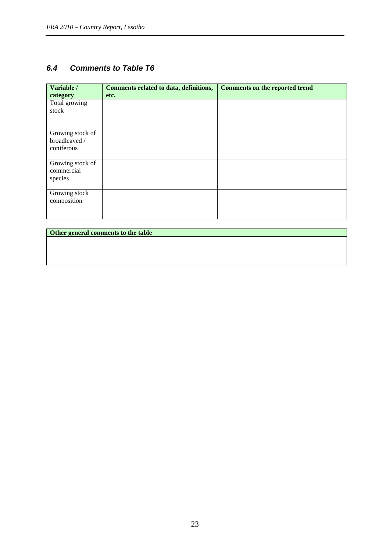#### *6.4 Comments to Table T6*

| Variable /<br>category                          | Comments related to data, definitions,<br>etc. | <b>Comments on the reported trend</b> |
|-------------------------------------------------|------------------------------------------------|---------------------------------------|
| Total growing<br>stock                          |                                                |                                       |
| Growing stock of<br>broadleaved /<br>coniferous |                                                |                                       |
| Growing stock of<br>commercial<br>species       |                                                |                                       |
| Growing stock<br>composition                    |                                                |                                       |

**Other general comments to the table**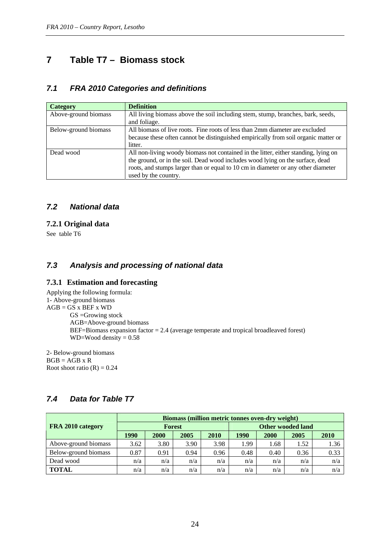# <span id="page-23-0"></span>**7 Table T7 – Biomass stock**

#### *7.1 FRA 2010 Categories and definitions*

| <b>Category</b>      | <b>Definition</b>                                                                   |
|----------------------|-------------------------------------------------------------------------------------|
| Above-ground biomass | All living biomass above the soil including stem, stump, branches, bark, seeds,     |
|                      | and foliage.                                                                        |
| Below-ground biomass | All biomass of live roots. Fine roots of less than 2mm diameter are excluded        |
|                      | because these often cannot be distinguished empirically from soil organic matter or |
|                      | litter.                                                                             |
| Dead wood            | All non-living woody biomass not contained in the litter, either standing, lying on |
|                      | the ground, or in the soil. Dead wood includes wood lying on the surface, dead      |
|                      | roots, and stumps larger than or equal to 10 cm in diameter or any other diameter   |
|                      | used by the country.                                                                |

#### *7.2 National data*

#### **7.2.1 Original data**

See table T6

#### *7.3 Analysis and processing of national data*

#### **7.3.1 Estimation and forecasting**

Applying the following formula: 1- Above-ground biomass  $AGB = GS \times BEF \times WD$ GS =Growing stock AGB=Above-ground biomass BEF=Biomass expansion factor = 2.4 (average temperate and tropical broadleaved forest)  $WD=Wood$  density  $= 0.58$ 

2- Below-ground biomass  $BGB = AGB \times R$ Root shoot ratio  $(R) = 0.24$ 

|                      | Biomass (million metric tonnes oven-dry weight) |      |               |      |                          |      |      |      |  |
|----------------------|-------------------------------------------------|------|---------------|------|--------------------------|------|------|------|--|
| FRA 2010 category    |                                                 |      | <b>Forest</b> |      | <b>Other wooded land</b> |      |      |      |  |
|                      | 1990                                            | 2000 | 2005          | 2010 | 1990                     | 2000 | 2005 | 2010 |  |
| Above-ground biomass | 3.62                                            | 3.80 | 3.90          | 3.98 | 1.99                     | l.68 | 1.52 | 1.36 |  |
| Below-ground biomass | 0.87                                            | 0.91 | 0.94          | 0.96 | 0.48                     | 0.40 | 0.36 | 0.33 |  |
| Dead wood            | n/a                                             | n/a  | n/a           | n/a  | n/a                      | n/a  | n/a  | n/a  |  |
| <b>TOTAL</b>         | n/a                                             | n/a  | n/a           | n/a  | n/a                      | n/a  | n/a  | n/a  |  |

#### *7.4 Data for Table T7*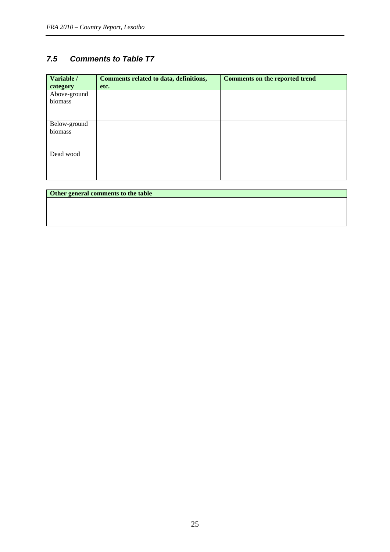#### *7.5 Comments to Table T7*

| Variable /   | Comments related to data, definitions, | <b>Comments on the reported trend</b> |
|--------------|----------------------------------------|---------------------------------------|
| category     | etc.                                   |                                       |
| Above-ground |                                        |                                       |
| biomass      |                                        |                                       |
|              |                                        |                                       |
|              |                                        |                                       |
| Below-ground |                                        |                                       |
| biomass      |                                        |                                       |
|              |                                        |                                       |
|              |                                        |                                       |
| Dead wood    |                                        |                                       |
|              |                                        |                                       |
|              |                                        |                                       |
|              |                                        |                                       |

| Other general comments to the table |  |  |
|-------------------------------------|--|--|
|                                     |  |  |
|                                     |  |  |
|                                     |  |  |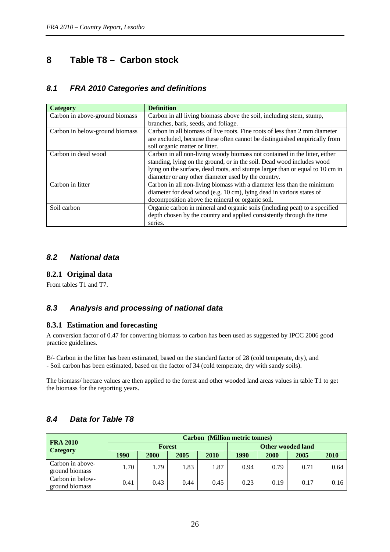# <span id="page-25-0"></span>**8 Table T8 – Carbon stock**

#### *8.1 FRA 2010 Categories and definitions*

| <b>Category</b>                | <b>Definition</b>                                                             |
|--------------------------------|-------------------------------------------------------------------------------|
| Carbon in above-ground biomass | Carbon in all living biomass above the soil, including stem, stump,           |
|                                | branches, bark, seeds, and foliage.                                           |
| Carbon in below-ground biomass | Carbon in all biomass of live roots. Fine roots of less than 2 mm diameter    |
|                                | are excluded, because these often cannot be distinguished empirically from    |
|                                | soil organic matter or litter.                                                |
| Carbon in dead wood            | Carbon in all non-living woody biomass not contained in the litter, either    |
|                                | standing, lying on the ground, or in the soil. Dead wood includes wood        |
|                                | lying on the surface, dead roots, and stumps larger than or equal to 10 cm in |
|                                | diameter or any other diameter used by the country.                           |
| Carbon in litter               | Carbon in all non-living biomass with a diameter less than the minimum        |
|                                | diameter for dead wood (e.g. 10 cm), lying dead in various states of          |
|                                | decomposition above the mineral or organic soil.                              |
| Soil carbon                    | Organic carbon in mineral and organic soils (including peat) to a specified   |
|                                | depth chosen by the country and applied consistently through the time         |
|                                | series.                                                                       |

#### *8.2 National data*

#### **8.2.1 Original data**

From tables T1 and T7.

#### *8.3 Analysis and processing of national data*

#### **8.3.1 Estimation and forecasting**

A conversion factor of 0.47 for converting biomass to carbon has been used as suggested by IPCC 2006 good practice guidelines.

B/- Carbon in the litter has been estimated, based on the standard factor of 28 (cold temperate, dry), and - Soil carbon has been estimated, based on the factor of 34 (cold temperate, dry with sandy soils).

The biomass/ hectare values are then applied to the forest and other wooded land areas values in table T1 to get the biomass for the reporting years.

|                                    | <b>Carbon</b> (Million metric tonnes) |               |      |      |                          |      |      |      |  |
|------------------------------------|---------------------------------------|---------------|------|------|--------------------------|------|------|------|--|
| <b>FRA 2010</b>                    |                                       | <b>Forest</b> |      |      | <b>Other wooded land</b> |      |      |      |  |
| Category                           | 1990                                  | 2000          | 2005 | 2010 | 1990                     | 2000 | 2005 | 2010 |  |
| Carbon in above-<br>ground biomass | 1.70                                  | 1.79          | 1.83 | 1.87 | 0.94                     | 0.79 | 0.71 | 0.64 |  |
| Carbon in below-<br>ground biomass | 0.41                                  | 0.43          | 0.44 | 0.45 | 0.23                     | 0.19 | 0.17 | 0.16 |  |

#### *8.4 Data for Table T8*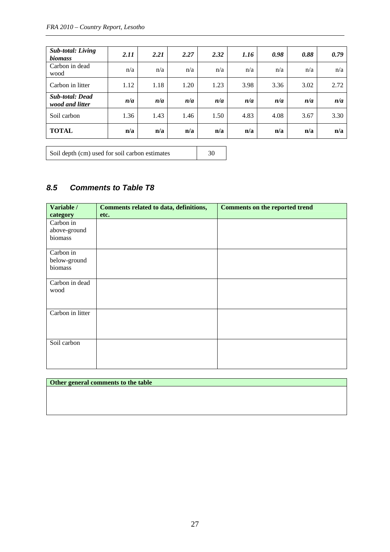| <b>Sub-total: Living</b><br><i>biomass</i> | 2.11 | 2.21 | 2.27 | 2.32 | 1.16 | 0.98 | 0.88 | 0.79 |
|--------------------------------------------|------|------|------|------|------|------|------|------|
| Carbon in dead<br>wood                     | n/a  | n/a  | n/a  | n/a  | n/a  | n/a  | n/a  | n/a  |
| Carbon in litter                           | 1.12 | 1.18 | 1.20 | 1.23 | 3.98 | 3.36 | 3.02 | 2.72 |
| <b>Sub-total: Dead</b><br>wood and litter  | n/a  | n/a  | n/a  | n/a  | n/a  | n/a  | n/a  | n/a  |
| Soil carbon                                | 1.36 | 1.43 | 1.46 | 1.50 | 4.83 | 4.08 | 3.67 | 3.30 |
| <b>TOTAL</b>                               | n/a  | n/a  | n/a  | n/a  | n/a  | n/a  | n/a  | n/a  |

Soil depth (cm) used for soil carbon estimates 30

# *8.5 Comments to Table T8*

| Variable /<br>category    | Comments related to data, definitions,<br>etc. | <b>Comments on the reported trend</b> |
|---------------------------|------------------------------------------------|---------------------------------------|
| Carbon in                 |                                                |                                       |
| above-ground<br>biomass   |                                                |                                       |
| Carbon in<br>below-ground |                                                |                                       |
| biomass                   |                                                |                                       |
| Carbon in dead<br>wood    |                                                |                                       |
| Carbon in litter          |                                                |                                       |
| Soil carbon               |                                                |                                       |

|  | Other general comments to the table |  |  |
|--|-------------------------------------|--|--|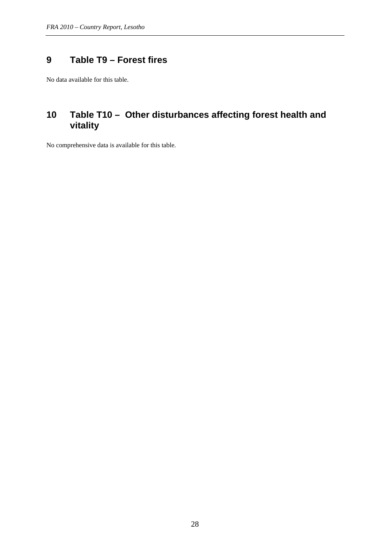# <span id="page-27-0"></span>**9 Table T9 – Forest fires**

No data available for this table.

# <span id="page-27-1"></span>**10 Table T10 – Other disturbances affecting forest health and vitality**

No comprehensive data is available for this table.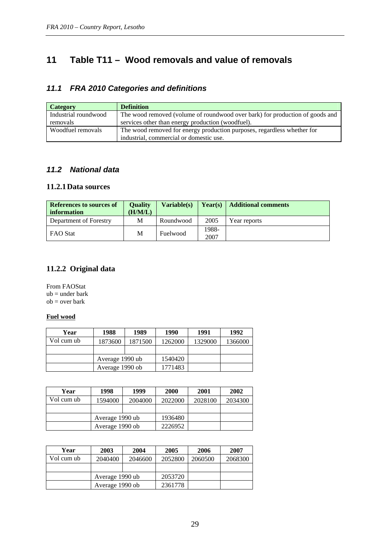# <span id="page-28-0"></span>**11 Table T11 – Wood removals and value of removals**

#### *11.1 FRA 2010 Categories and definitions*

| <b>Category</b>      | <b>Definition</b>                                                            |
|----------------------|------------------------------------------------------------------------------|
| Industrial roundwood | The wood removed (volume of roundwood over bark) for production of goods and |
| removals             | services other than energy production (woodfuel).                            |
| Woodfuel removals    | The wood removed for energy production purposes, regardless whether for      |
|                      | industrial, commercial or domestic use.                                      |

#### *11.2 National data*

#### **11.2.1Data sources**

| <b>References to sources of</b><br>information | <b>Ouality</b><br>(H/M/L) | Variable(s) |       | <b>Year(s)</b>   Additional comments |
|------------------------------------------------|---------------------------|-------------|-------|--------------------------------------|
| Department of Forestry                         | M                         | Roundwood   | 2005  | Year reports                         |
| <b>FAO Stat</b>                                | M                         | Fuelwood    | 1988- |                                      |
|                                                |                           |             | 2007  |                                      |

#### **11.2.2 Original data**

From FAOStat  $ub = under bark$ ob = over bark

#### **Fuel wood**

| Year       | 1988            | 1989    | 1990    | 1991    | 1992    |
|------------|-----------------|---------|---------|---------|---------|
| Vol cum ub | 1873600         | 1871500 | 1262000 | 1329000 | 1366000 |
|            |                 |         |         |         |         |
|            | Average 1990 ub |         | 1540420 |         |         |
|            | Average 1990 ob |         | 1771483 |         |         |

| Year       | 1998    | 1999            | <b>2000</b> | 2001    | 2002    |
|------------|---------|-----------------|-------------|---------|---------|
| Vol cum ub | 1594000 | 2004000         | 2022000     | 2028100 | 2034300 |
|            |         |                 |             |         |         |
|            |         | Average 1990 ub |             |         |         |
|            |         | Average 1990 ob |             |         |         |

| Year       | 2003            | 2004    | 2005    | 2006    | 2007    |
|------------|-----------------|---------|---------|---------|---------|
| Vol cum ub | 2040400         | 2046600 | 2052800 | 2060500 | 2068300 |
|            |                 |         |         |         |         |
|            | Average 1990 ub |         | 2053720 |         |         |
|            | Average 1990 ob |         | 2361778 |         |         |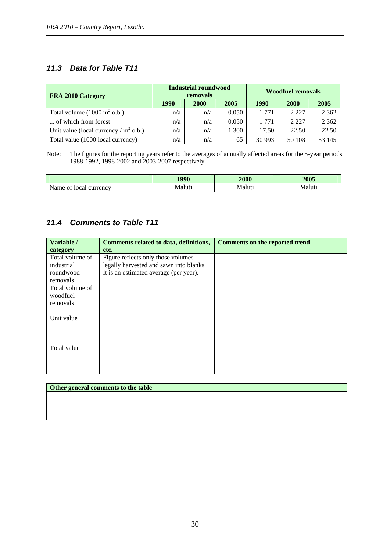#### *11.3 Data for Table T11*

| FRA 2010 Category                              |      | Industrial roundwood<br>removals |       | <b>Woodfuel removals</b> |             |         |  |
|------------------------------------------------|------|----------------------------------|-------|--------------------------|-------------|---------|--|
|                                                | 1990 | <b>2000</b>                      | 2005  | 1990                     | <b>2000</b> | 2005    |  |
| Total volume $(1000 \text{ m}^3 \text{ o.b.})$ | n/a  | n/a                              | 0.050 | 1 771                    | 2 2 2 7     | 2 3 6 2 |  |
| of which from forest                           | n/a  | n/a                              | 0.050 | 1 771                    | 2 2 2 7     | 2 3 6 2 |  |
| Unit value (local currency $/m^3$ o.b.)        | n/a  | n/a                              | 1 300 | 17.50                    | 22.50       | 22.50   |  |
| Total value (1000 local currency)              | n/a  | n/a                              | 65    | 30 993                   | 50 108      | 53 145  |  |

Note: The figures for the reporting years refer to the averages of annually affected areas for the 5-year periods 1988-1992, 1998-2002 and 2003-2007 respectively.

|                              | 1000   | <b>2000</b> | 2005   |
|------------------------------|--------|-------------|--------|
| currency<br>Name of<br>local | Maluti | Maluti      | Maluti |

#### *11.4 Comments to Table T11*

| Variable /      | Comments related to data, definitions,  | <b>Comments on the reported trend</b> |
|-----------------|-----------------------------------------|---------------------------------------|
| category        | etc.                                    |                                       |
| Total volume of | Figure reflects only those volumes      |                                       |
| industrial      | legally harvested and sawn into blanks. |                                       |
| roundwood       | It is an estimated average (per year).  |                                       |
| removals        |                                         |                                       |
| Total volume of |                                         |                                       |
| woodfuel        |                                         |                                       |
| removals        |                                         |                                       |
|                 |                                         |                                       |
| Unit value      |                                         |                                       |
|                 |                                         |                                       |
|                 |                                         |                                       |
|                 |                                         |                                       |
| Total value     |                                         |                                       |
|                 |                                         |                                       |
|                 |                                         |                                       |
|                 |                                         |                                       |

| Other general comments to the table |
|-------------------------------------|
|                                     |
|                                     |
|                                     |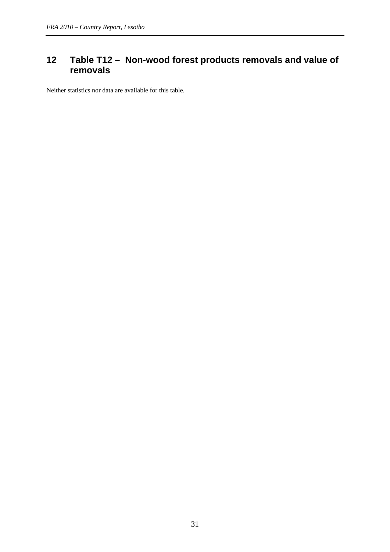# <span id="page-30-0"></span>**12 Table T12 – Non-wood forest products removals and value of removals**

Neither statistics nor data are available for this table.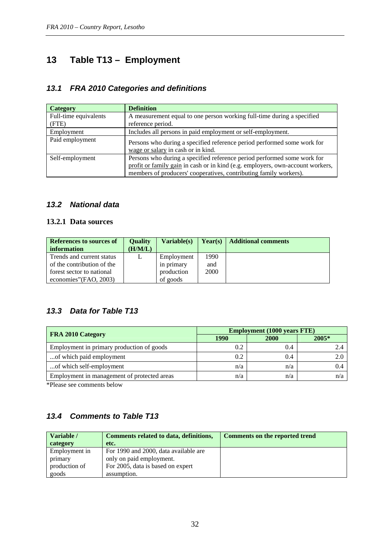# <span id="page-31-0"></span>**13 Table T13 – Employment**

#### *13.1 FRA 2010 Categories and definitions*

| <b>Category</b>       | <b>Definition</b>                                                                                                                                                                                                              |
|-----------------------|--------------------------------------------------------------------------------------------------------------------------------------------------------------------------------------------------------------------------------|
| Full-time equivalents | A measurement equal to one person working full-time during a specified                                                                                                                                                         |
| (FTE)                 | reference period.                                                                                                                                                                                                              |
| Employment            | Includes all persons in paid employment or self-employment.                                                                                                                                                                    |
| Paid employment       | Persons who during a specified reference period performed some work for<br>wage or salary in cash or in kind.                                                                                                                  |
| Self-employment       | Persons who during a specified reference period performed some work for<br>profit or family gain in cash or in kind (e.g. employers, own-account workers,<br>members of producers' cooperatives, contributing family workers). |

#### *13.2 National data*

#### **13.2.1 Data sources**

| References to sources of   | <b>Ouality</b> | Variable(s) | Year(s) | <b>Additional comments</b> |
|----------------------------|----------------|-------------|---------|----------------------------|
| information                | (H/M/L)        |             |         |                            |
| Trends and current status  | L              | Employment  | 1990    |                            |
| of the contribution of the |                | in primary  | and     |                            |
| forest sector to national  |                | production  | 2000    |                            |
| economies" (FAO, 2003)     |                | of goods    |         |                            |

#### *13.3 Data for Table T13*

| <b>FRA 2010 Category</b>                    | <b>Employment (1000 years FTE)</b> |      |         |  |  |
|---------------------------------------------|------------------------------------|------|---------|--|--|
|                                             | 1990                               | 2000 | $2005*$ |  |  |
| Employment in primary production of goods   | 0.2                                | 0.4  |         |  |  |
| of which paid employment                    | 0.2                                | 0.4  |         |  |  |
| of which self-employment                    | n/a                                | n/a  | 0.4     |  |  |
| Employment in management of protected areas | n/a                                | n/a  | n/a     |  |  |

\*Please see comments below

# *13.4 Comments to Table T13*

| Variable /    | Comments related to data, definitions, | Comments on the reported trend |
|---------------|----------------------------------------|--------------------------------|
| category      | etc.                                   |                                |
| Employment in | For 1990 and 2000, data available are  |                                |
| primary       | only on paid employment.               |                                |
| production of | For 2005, data is based on expert      |                                |
| goods         | assumption.                            |                                |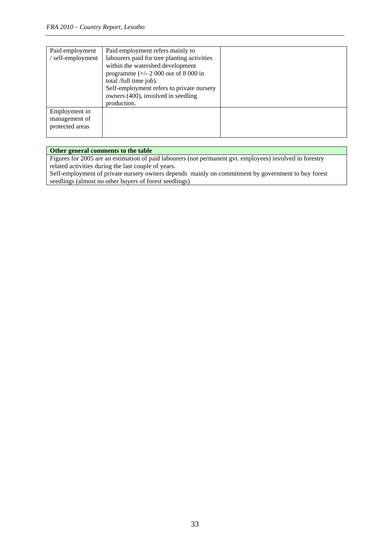| Paid employment | Paid employment refers mainly to            |  |
|-----------------|---------------------------------------------|--|
| self-employment | labourers paid for tree planting activities |  |
|                 | within the watershed development            |  |
|                 | programme $(+/- 2000$ out of 8000 in        |  |
|                 | total /full time job).                      |  |
|                 | Self-employment refers to private nursery   |  |
|                 | owners (400), involved in seedling          |  |
|                 | production.                                 |  |
| Employment in   |                                             |  |
| management of   |                                             |  |
| protected areas |                                             |  |
|                 |                                             |  |

#### **Other general comments to the table**

Figures for 2005 are an estimation of paid labourers (not permanent gvt. employees) involved in forestry related activities during the last couple of years.

Self-employment of private nursery owners depends mainly on commitment by government to buy forest seedlings (almost no other buyers of forest seedlings)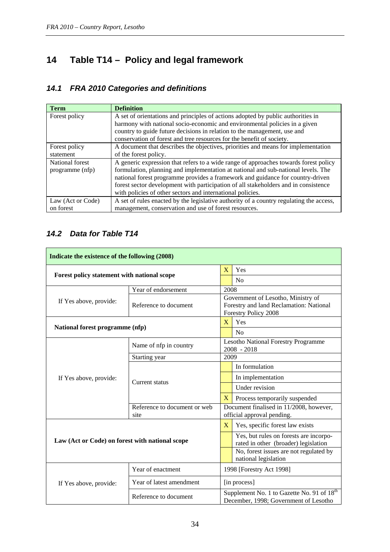# <span id="page-33-0"></span>**14 Table T14 – Policy and legal framework**

# *14.1 FRA 2010 Categories and definitions*

| <b>Term</b>       | <b>Definition</b>                                                                       |
|-------------------|-----------------------------------------------------------------------------------------|
| Forest policy     | A set of orientations and principles of actions adopted by public authorities in        |
|                   | harmony with national socio-economic and environmental policies in a given              |
|                   | country to guide future decisions in relation to the management, use and                |
|                   | conservation of forest and tree resources for the benefit of society.                   |
| Forest policy     | A document that describes the objectives, priorities and means for implementation       |
| statement         | of the forest policy.                                                                   |
| National forest   | A generic expression that refers to a wide range of approaches towards forest policy    |
| programme (nfp)   | formulation, planning and implementation at national and sub-national levels. The       |
|                   | national forest programme provides a framework and guidance for country-driven          |
|                   | forest sector development with participation of all stakeholders and in consistence     |
|                   | with policies of other sectors and international policies.                              |
| Law (Act or Code) | A set of rules enacted by the legislative authority of a country regulating the access, |
| on forest         | management, conservation and use of forest resources.                                   |

## *14.2 Data for Table T14*

| Indicate the existence of the following (2008)  |                                      |                |                                                                                                       |  |  |
|-------------------------------------------------|--------------------------------------|----------------|-------------------------------------------------------------------------------------------------------|--|--|
| Forest policy statement with national scope     |                                      | $\overline{X}$ | Yes                                                                                                   |  |  |
|                                                 |                                      |                | No                                                                                                    |  |  |
|                                                 | Year of endorsement                  |                | 2008                                                                                                  |  |  |
| If Yes above, provide:                          | Reference to document                |                | Government of Lesotho, Ministry of<br>Forestry and land Reclamation: National<br>Forestry Policy 2008 |  |  |
|                                                 |                                      | $\mathbf{X}$   | Yes                                                                                                   |  |  |
| National forest programme (nfp)                 |                                      |                | No                                                                                                    |  |  |
|                                                 | Name of nfp in country               |                | <b>Lesotho National Forestry Programme</b><br>$2008 - 2018$                                           |  |  |
|                                                 | Starting year                        | 2009           |                                                                                                       |  |  |
|                                                 | Current status                       |                | In formulation                                                                                        |  |  |
| If Yes above, provide:                          |                                      |                | In implementation                                                                                     |  |  |
|                                                 |                                      |                | Under revision                                                                                        |  |  |
|                                                 |                                      |                | Process temporarily suspended                                                                         |  |  |
|                                                 | Reference to document or web<br>site |                | Document finalised in 11/2008, however,<br>official approval pending.                                 |  |  |
|                                                 |                                      | $\mathbf{X}$   | Yes, specific forest law exists                                                                       |  |  |
| Law (Act or Code) on forest with national scope |                                      |                | Yes, but rules on forests are incorpo-<br>rated in other (broader) legislation                        |  |  |
|                                                 |                                      |                | No, forest issues are not regulated by<br>national legislation                                        |  |  |
|                                                 | Year of enactment                    |                | 1998 [Forestry Act 1998]                                                                              |  |  |
| If Yes above, provide:                          | Year of latest amendment             |                | [in process]                                                                                          |  |  |
|                                                 | Reference to document                |                | Supplement No. 1 to Gazette No. 91 of 18 <sup>th</sup><br>December, 1998; Government of Lesotho       |  |  |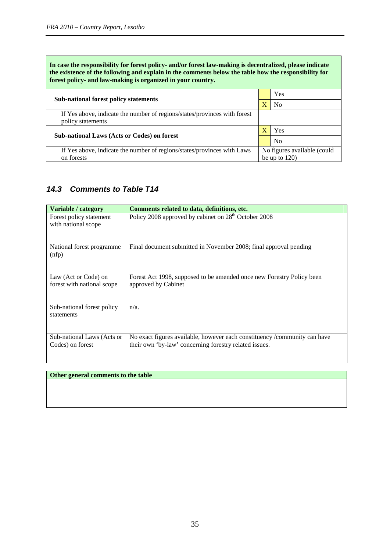**In case the responsibility for forest policy- and/or forest law-making is decentralized, please indicate the existence of the following and explain in the comments below the table how the responsibility for forest policy- and law-making is organized in your country.** 

| <b>Sub-national forest policy statements</b>                                                   |  | Yes                         |
|------------------------------------------------------------------------------------------------|--|-----------------------------|
|                                                                                                |  | N <sub>0</sub>              |
| If Yes above, indicate the number of regions/states/provinces with forest<br>policy statements |  |                             |
| Sub-national Laws (Acts or Codes) on forest                                                    |  | Yes                         |
|                                                                                                |  | N <sub>0</sub>              |
| If Yes above, indicate the number of regions/states/provinces with Laws                        |  | No figures available (could |
| on forests                                                                                     |  | be up to $120$ )            |

#### *14.3 Comments to Table T14*

| Variable / category                                | Comments related to data, definitions, etc.                                                                                         |
|----------------------------------------------------|-------------------------------------------------------------------------------------------------------------------------------------|
| Forest policy statement<br>with national scope     | Policy 2008 approved by cabinet on 28 <sup>th</sup> October 2008                                                                    |
| National forest programme<br>(nfp)                 | Final document submitted in November 2008; final approval pending                                                                   |
| Law (Act or Code) on<br>forest with national scope | Forest Act 1998, supposed to be amended once new Forestry Policy been<br>approved by Cabinet                                        |
| Sub-national forest policy<br>statements           | $n/a$ .                                                                                                                             |
| Sub-national Laws (Acts or<br>Codes) on forest     | No exact figures available, however each constituency /community can have<br>their own 'by-law' concerning forestry related issues. |

#### **Other general comments to the table**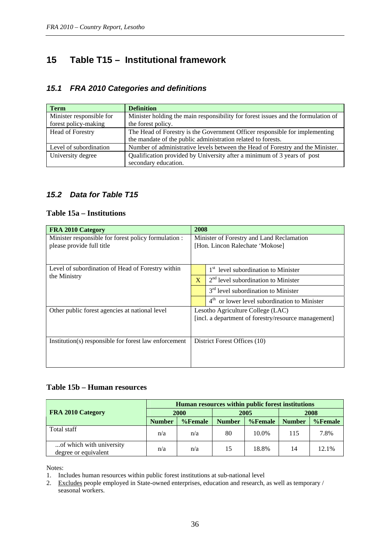# <span id="page-35-0"></span>**15 Table T15 – Institutional framework**

#### *15.1 FRA 2010 Categories and definitions*

| <b>Term</b>              | <b>Definition</b>                                                                 |
|--------------------------|-----------------------------------------------------------------------------------|
| Minister responsible for | Minister holding the main responsibility for forest issues and the formulation of |
| forest policy-making     | the forest policy.                                                                |
| Head of Forestry         | The Head of Forestry is the Government Officer responsible for implementing       |
|                          | the mandate of the public administration related to forests.                      |
| Level of subordination   | Number of administrative levels between the Head of Forestry and the Minister.    |
| University degree        | Qualification provided by University after a minimum of 3 years of post           |
|                          | secondary education.                                                              |

#### *15.2 Data for Table T15*

#### **Table 15a – Institutions**

| FRA 2010 Category                                     | 2008                                                        |  |  |  |
|-------------------------------------------------------|-------------------------------------------------------------|--|--|--|
| Minister responsible for forest policy formulation :  | Minister of Forestry and Land Reclamation                   |  |  |  |
| please provide full title                             | [Hon. Lincon Ralechate 'Mokose]                             |  |  |  |
|                                                       |                                                             |  |  |  |
| Level of subordination of Head of Forestry within     | 1 <sup>st</sup> level subordination to Minister             |  |  |  |
| the Ministry                                          | $2nd$ level subordination to Minister<br>$\mathbf{X}$       |  |  |  |
|                                                       | $3rd$ level subordination to Minister                       |  |  |  |
|                                                       | $4^{\text{th}}$<br>or lower level subordination to Minister |  |  |  |
| Other public forest agencies at national level        | Lesotho Agriculture College (LAC)                           |  |  |  |
|                                                       | [incl. a department of forestry/resource management]        |  |  |  |
|                                                       |                                                             |  |  |  |
| Institution(s) responsible for forest law enforcement | District Forest Offices (10)                                |  |  |  |
|                                                       |                                                             |  |  |  |
|                                                       |                                                             |  |  |  |

#### **Table 15b – Human resources**

|                                                  | Human resources within public forest institutions |         |               |            |               |         |
|--------------------------------------------------|---------------------------------------------------|---------|---------------|------------|---------------|---------|
| FRA 2010 Category                                | 2000                                              |         | 2005          |            | 2008          |         |
|                                                  | <b>Number</b>                                     | %Female | <b>Number</b> | $%$ Female | <b>Number</b> | %Female |
| Total staff                                      | n/a                                               | n/a     | 80            | 10.0%      | 115           | 7.8%    |
| of which with university<br>degree or equivalent | n/a                                               | n/a     | 15            | 18.8%      | 14            | 12.1%   |

Notes:

1. Includes human resources within public forest institutions at sub-national level

2. Excludes people employed in State-owned enterprises, education and research, as well as temporary / seasonal workers.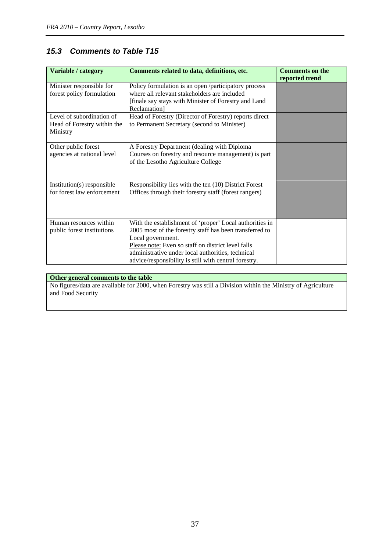### *15.3 Comments to Table T15*

| Variable / category                                                  | Comments related to data, definitions, etc.                                                                                                                                                                                                                                                                 | <b>Comments on the</b><br>reported trend |
|----------------------------------------------------------------------|-------------------------------------------------------------------------------------------------------------------------------------------------------------------------------------------------------------------------------------------------------------------------------------------------------------|------------------------------------------|
| Minister responsible for<br>forest policy formulation                | Policy formulation is an open /participatory process<br>where all relevant stakeholders are included<br>[finale say stays with Minister of Forestry and Land<br>Reclamation]                                                                                                                                |                                          |
| Level of subordination of<br>Head of Forestry within the<br>Ministry | Head of Forestry (Director of Forestry) reports direct<br>to Permanent Secretary (second to Minister)                                                                                                                                                                                                       |                                          |
| Other public forest<br>agencies at national level                    | A Forestry Department (dealing with Diploma<br>Courses on forestry and resource management) is part<br>of the Lesotho Agriculture College                                                                                                                                                                   |                                          |
| Institution(s) responsible<br>for forest law enforcement             | Responsibility lies with the ten (10) District Forest<br>Offices through their forestry staff (forest rangers)                                                                                                                                                                                              |                                          |
| Human resources within<br>public forest institutions                 | With the establishment of 'proper' Local authorities in<br>2005 most of the forestry staff has been transferred to<br>Local government.<br>Please note: Even so staff on district level falls<br>administrative under local authorities, technical<br>advice/responsibility is still with central forestry. |                                          |

#### **Other general comments to the table**

No figures/data are available for 2000, when Forestry was still a Division within the Ministry of Agriculture and Food Security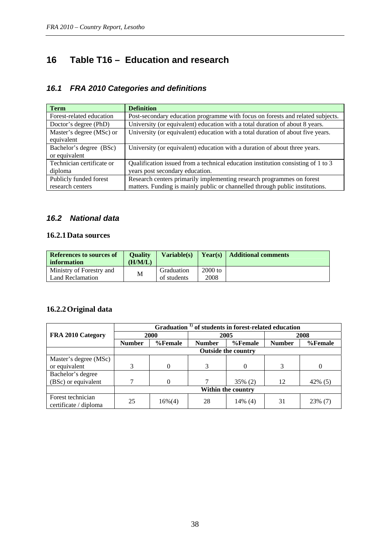# <span id="page-37-0"></span>**16 Table T16 – Education and research**

#### *16.1 FRA 2010 Categories and definitions*

| <b>Term</b>                                | <b>Definition</b>                                                                                                                                     |
|--------------------------------------------|-------------------------------------------------------------------------------------------------------------------------------------------------------|
| Forest-related education                   | Post-secondary education programme with focus on forests and related subjects.                                                                        |
| Doctor's degree (PhD)                      | University (or equivalent) education with a total duration of about 8 years.                                                                          |
| Master's degree (MSc) or<br>equivalent     | University (or equivalent) education with a total duration of about five years.                                                                       |
| Bachelor's degree (BSc)<br>or equivalent   | University (or equivalent) education with a duration of about three years.                                                                            |
| Technician certificate or<br>diploma       | Qualification issued from a technical education institution consisting of 1 to 3<br>years post secondary education.                                   |
| Publicly funded forest<br>research centers | Research centers primarily implementing research programmes on forest<br>matters. Funding is mainly public or channelled through public institutions. |

#### *16.2 National data*

#### **16.2.1Data sources**

| <b>Ouality</b><br>References to sources of<br>(H/M/L)<br>information |   | Variable(s) |         | <b>Year(s)</b>   Additional comments |
|----------------------------------------------------------------------|---|-------------|---------|--------------------------------------|
| Ministry of Forestry and                                             | М | Graduation  | 2000 to |                                      |
| Land Reclamation                                                     |   | of students | 2008    |                                      |

#### **16.2.2Original data**

|                                            | Graduation <sup>1)</sup> of students in forest-related education |           |                          |            |               |           |  |  |
|--------------------------------------------|------------------------------------------------------------------|-----------|--------------------------|------------|---------------|-----------|--|--|
| FRA 2010 Category                          | 2000                                                             |           |                          | 2005       | 2008          |           |  |  |
|                                            | <b>Number</b>                                                    | %Female   | %Female<br><b>Number</b> |            | <b>Number</b> | %Female   |  |  |
|                                            | <b>Outside the country</b>                                       |           |                          |            |               |           |  |  |
| Master's degree (MSc)                      |                                                                  |           |                          |            |               |           |  |  |
| or equivalent                              | 3                                                                | $\Omega$  | 3                        | $\theta$   | 3             | 0         |  |  |
| Bachelor's degree                          |                                                                  |           |                          |            |               |           |  |  |
| (BSc) or equivalent                        |                                                                  | $\Omega$  |                          | 35% (2)    | 12            | 42% $(5)$ |  |  |
|                                            | Within the country                                               |           |                          |            |               |           |  |  |
| Forest technician<br>certificate / diploma | 25                                                               | $16\%(4)$ | 28                       | $14\%$ (4) | 31            | 23% (7)   |  |  |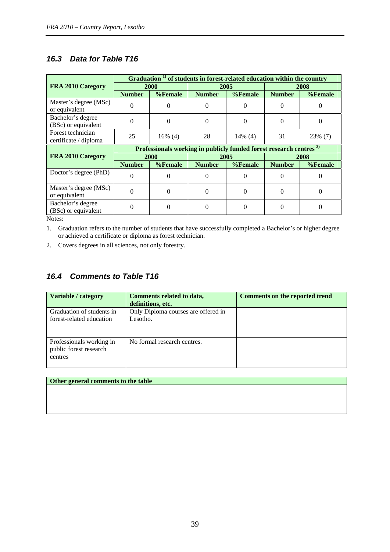#### *16.3 Data for Table T16*

|                                            |                                                                                | Graduation <sup>1)</sup> of students in forest-related education within the country |                          |            |                          |          |  |  |
|--------------------------------------------|--------------------------------------------------------------------------------|-------------------------------------------------------------------------------------|--------------------------|------------|--------------------------|----------|--|--|
| FRA 2010 Category                          | <b>2000</b>                                                                    |                                                                                     |                          | 2005       | 2008                     |          |  |  |
|                                            | %Female<br><b>Number</b>                                                       |                                                                                     | %Female<br><b>Number</b> |            | %Female<br><b>Number</b> |          |  |  |
| Master's degree (MSc)<br>or equivalent     | 0                                                                              | 0                                                                                   | $\Omega$                 | 0          |                          |          |  |  |
| Bachelor's degree<br>(BSc) or equivalent   | $\Omega$                                                                       | $\Omega$                                                                            | $\Omega$                 | $\theta$   | 0                        | 0        |  |  |
| Forest technician<br>certificate / diploma | 25                                                                             | $16\%$ (4)                                                                          | 28                       | $14\%$ (4) | 31                       | 23% (7)  |  |  |
|                                            | Professionals working in publicly funded forest research centres <sup>2)</sup> |                                                                                     |                          |            |                          |          |  |  |
| FRA 2010 Category                          |                                                                                | <b>2000</b>                                                                         |                          | 2005       | 2008                     |          |  |  |
|                                            | <b>Number</b>                                                                  | %Female                                                                             | <b>Number</b>            | %Female    | <b>Number</b>            | %Female  |  |  |
| Doctor's degree (PhD)                      | $\Omega$                                                                       | $_{0}$                                                                              | $\Omega$                 | 0          | $\Omega$                 | 0        |  |  |
| Master's degree (MSc)<br>or equivalent     | $\Omega$                                                                       | 0                                                                                   | $\Omega$                 | $\theta$   | $\Omega$                 | $\Omega$ |  |  |
|                                            |                                                                                |                                                                                     |                          |            |                          |          |  |  |

Notes:

1. Graduation refers to the number of students that have successfully completed a Bachelor's or higher degree or achieved a certificate or diploma as forest technician.

2. Covers degrees in all sciences, not only forestry.

#### *16.4 Comments to Table T16*

| Variable / category                                           | <b>Comments related to data,</b><br>definitions, etc. | Comments on the reported trend |
|---------------------------------------------------------------|-------------------------------------------------------|--------------------------------|
| Graduation of students in<br>forest-related education         | Only Diploma courses are offered in<br>Lesotho.       |                                |
| Professionals working in<br>public forest research<br>centres | No formal research centres.                           |                                |

**Other general comments to the table**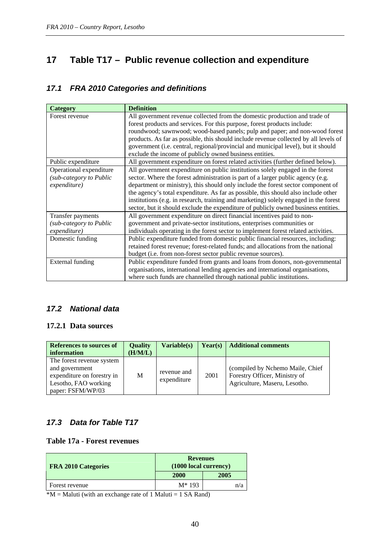# <span id="page-39-0"></span>**17 Table T17 – Public revenue collection and expenditure**

#### *17.1 FRA 2010 Categories and definitions*

| Category                                                           | <b>Definition</b>                                                                                                                                                                                                                                                                                                                                                                                                                                                                                                         |
|--------------------------------------------------------------------|---------------------------------------------------------------------------------------------------------------------------------------------------------------------------------------------------------------------------------------------------------------------------------------------------------------------------------------------------------------------------------------------------------------------------------------------------------------------------------------------------------------------------|
| Forest revenue                                                     | All government revenue collected from the domestic production and trade of<br>forest products and services. For this purpose, forest products include:<br>roundwood; sawnwood; wood-based panels; pulp and paper; and non-wood forest<br>products. As far as possible, this should include revenue collected by all levels of<br>government (i.e. central, regional/provincial and municipal level), but it should<br>exclude the income of publicly owned business entities.                                             |
| Public expenditure                                                 | All government expenditure on forest related activities (further defined below).                                                                                                                                                                                                                                                                                                                                                                                                                                          |
| Operational expenditure<br>(sub-category to Public<br>expenditure) | All government expenditure on public institutions solely engaged in the forest<br>sector. Where the forest administration is part of a larger public agency (e.g.<br>department or ministry), this should only include the forest sector component of<br>the agency's total expenditure. As far as possible, this should also include other<br>institutions (e.g. in research, training and marketing) solely engaged in the forest<br>sector, but it should exclude the expenditure of publicly owned business entities. |
| Transfer payments                                                  | All government expenditure on direct financial incentives paid to non-                                                                                                                                                                                                                                                                                                                                                                                                                                                    |
| (sub-category to Public                                            | government and private-sector institutions, enterprises communities or                                                                                                                                                                                                                                                                                                                                                                                                                                                    |
| expenditure)                                                       | individuals operating in the forest sector to implement forest related activities.                                                                                                                                                                                                                                                                                                                                                                                                                                        |
| Domestic funding                                                   | Public expenditure funded from domestic public financial resources, including:<br>retained forest revenue; forest-related funds; and allocations from the national<br>budget (i.e. from non-forest sector public revenue sources).                                                                                                                                                                                                                                                                                        |
| External funding                                                   | Public expenditure funded from grants and loans from donors, non-governmental<br>organisations, international lending agencies and international organisations,<br>where such funds are channelled through national public institutions.                                                                                                                                                                                                                                                                                  |

#### *17.2 National data*

#### **17.2.1 Data sources**

| <b>References to sources of</b><br>information                                                                         | <b>Quality</b><br>(H/M/L) | Variable(s)                | Year(s) | <b>Additional comments</b>                                                                         |
|------------------------------------------------------------------------------------------------------------------------|---------------------------|----------------------------|---------|----------------------------------------------------------------------------------------------------|
| The forest revenue system<br>and government<br>expenditure on forestry in<br>Lesotho, FAO working<br>paper: FSFM/WP/03 | M                         | revenue and<br>expenditure | 2001    | (compiled by Nchemo Maile, Chief<br>Forestry Officer, Ministry of<br>Agriculture, Maseru, Lesotho. |

#### *17.3 Data for Table T17*

#### **Table 17a - Forest revenues**

| <b>FRA 2010 Categories</b> | <b>Revenues</b><br>(1000 local currency) |      |  |  |
|----------------------------|------------------------------------------|------|--|--|
|                            | 2000                                     | 2005 |  |  |
| Forest revenue             | $M*193$                                  | n/a  |  |  |

 $*M =$  Maluti (with an exchange rate of 1 Maluti = 1 SA Rand)